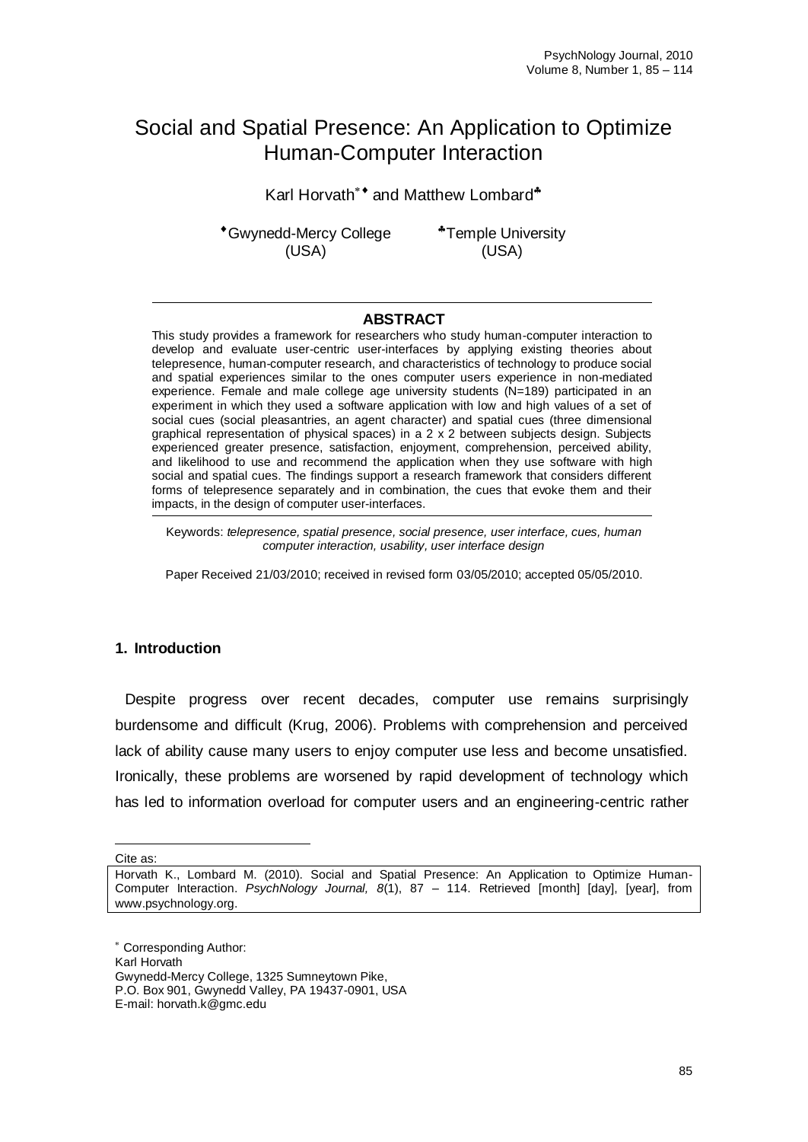# Social and Spatial Presence: An Application to Optimize Human-Computer Interaction

Karl Horvath\*<sup>\*</sup> and Matthew Lombard<sup>\*</sup>

Gwynedd-Mercy College (USA)

Temple University (USA)

# **ABSTRACT**

This study provides a framework for researchers who study human-computer interaction to develop and evaluate user-centric user-interfaces by applying existing theories about telepresence, human-computer research, and characteristics of technology to produce social and spatial experiences similar to the ones computer users experience in non-mediated experience. Female and male college age university students (N=189) participated in an experiment in which they used a software application with low and high values of a set of social cues (social pleasantries, an agent character) and spatial cues (three dimensional graphical representation of physical spaces) in a 2 x 2 between subjects design. Subjects experienced greater presence, satisfaction, enjoyment, comprehension, perceived ability, and likelihood to use and recommend the application when they use software with high social and spatial cues. The findings support a research framework that considers different forms of telepresence separately and in combination, the cues that evoke them and their impacts, in the design of computer user-interfaces.

Keywords: *telepresence, spatial presence, social presence, user interface, cues, human computer interaction, usability, user interface design*

Paper Received 21/03/2010; received in revised form 03/05/2010; accepted 05/05/2010.

# **1. Introduction**

Despite progress over recent decades, computer use remains surprisingly burdensome and difficult (Krug, 2006). Problems with comprehension and perceived lack of ability cause many users to enjoy computer use less and become unsatisfied. Ironically, these problems are worsened by rapid development of technology which has led to information overload for computer users and an engineering-centric rather

Cite as:

 $\overline{a}$ 

Horvath K., Lombard M. (2010). Social and Spatial Presence: An Application to Optimize Human-Computer Interaction. *PsychNology Journal, 8*(1), 87 – 114. Retrieved [month] [day], [year], from [www.psychnology.org.](http://www.psychnology.org/)

Corresponding Author:

Karl Horvath

Gwynedd-Mercy College, 1325 Sumneytown Pike, P.O. Box 901, Gwynedd Valley, PA 19437-0901, USA

E-mail: horvath.k@gmc.edu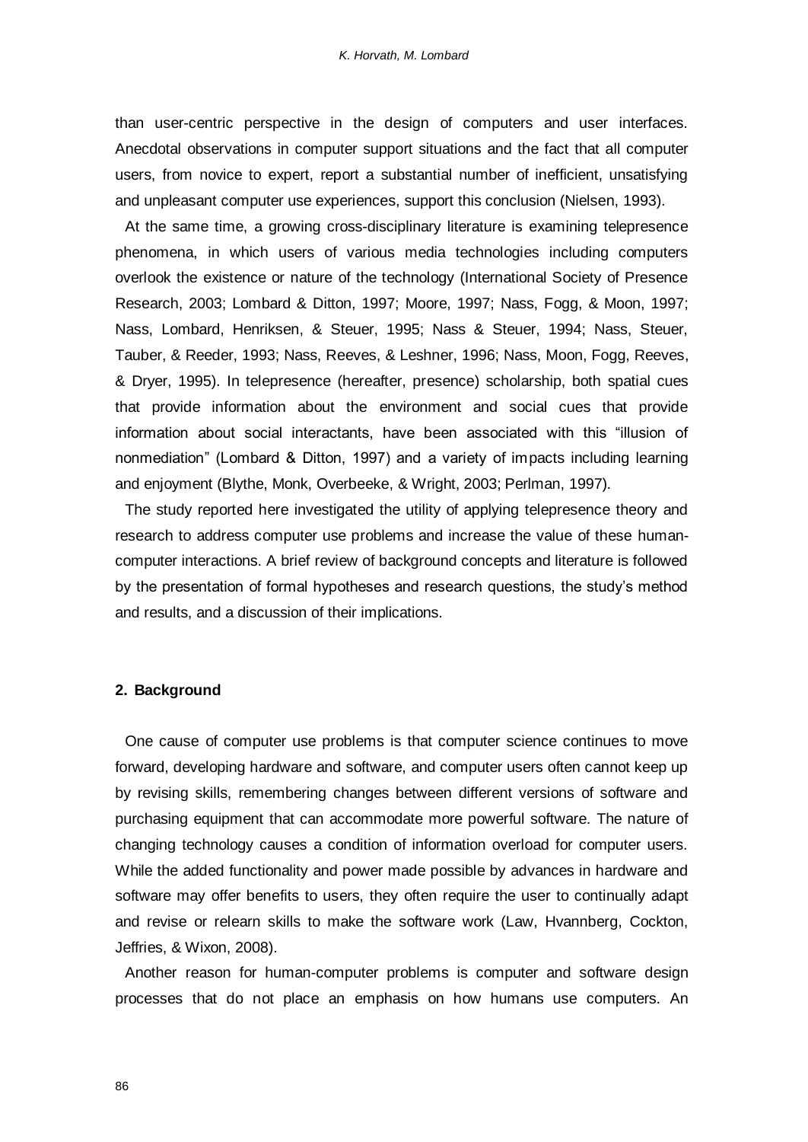than user-centric perspective in the design of computers and user interfaces. Anecdotal observations in computer support situations and the fact that all computer users, from novice to expert, report a substantial number of inefficient, unsatisfying and unpleasant computer use experiences, support this conclusion (Nielsen, 1993).

At the same time, a growing cross-disciplinary literature is examining telepresence phenomena, in which users of various media technologies including computers overlook the existence or nature of the technology (International Society of Presence Research, 2003; Lombard & Ditton, 1997; Moore, 1997; Nass, Fogg, & Moon, 1997; Nass, Lombard, Henriksen, & Steuer, 1995; Nass & Steuer, 1994; Nass, Steuer, Tauber, & Reeder, 1993; Nass, Reeves, & Leshner, 1996; Nass, Moon, Fogg, Reeves, & Dryer, 1995). In telepresence (hereafter, presence) scholarship, both spatial cues that provide information about the environment and social cues that provide information about social interactants, have been associated with this "illusion of nonmediation" (Lombard & Ditton, 1997) and a variety of impacts including learning and enjoyment (Blythe, Monk, Overbeeke, & Wright, 2003; Perlman, 1997).

The study reported here investigated the utility of applying telepresence theory and research to address computer use problems and increase the value of these humancomputer interactions. A brief review of background concepts and literature is followed by the presentation of formal hypotheses and research questions, the study"s method and results, and a discussion of their implications.

## **2. Background**

One cause of computer use problems is that computer science continues to move forward, developing hardware and software, and computer users often cannot keep up by revising skills, remembering changes between different versions of software and purchasing equipment that can accommodate more powerful software. The nature of changing technology causes a condition of information overload for computer users. While the added functionality and power made possible by advances in hardware and software may offer benefits to users, they often require the user to continually adapt and revise or relearn skills to make the software work (Law, Hvannberg, Cockton, Jeffries, & Wixon, 2008).

Another reason for human-computer problems is computer and software design processes that do not place an emphasis on how humans use computers. An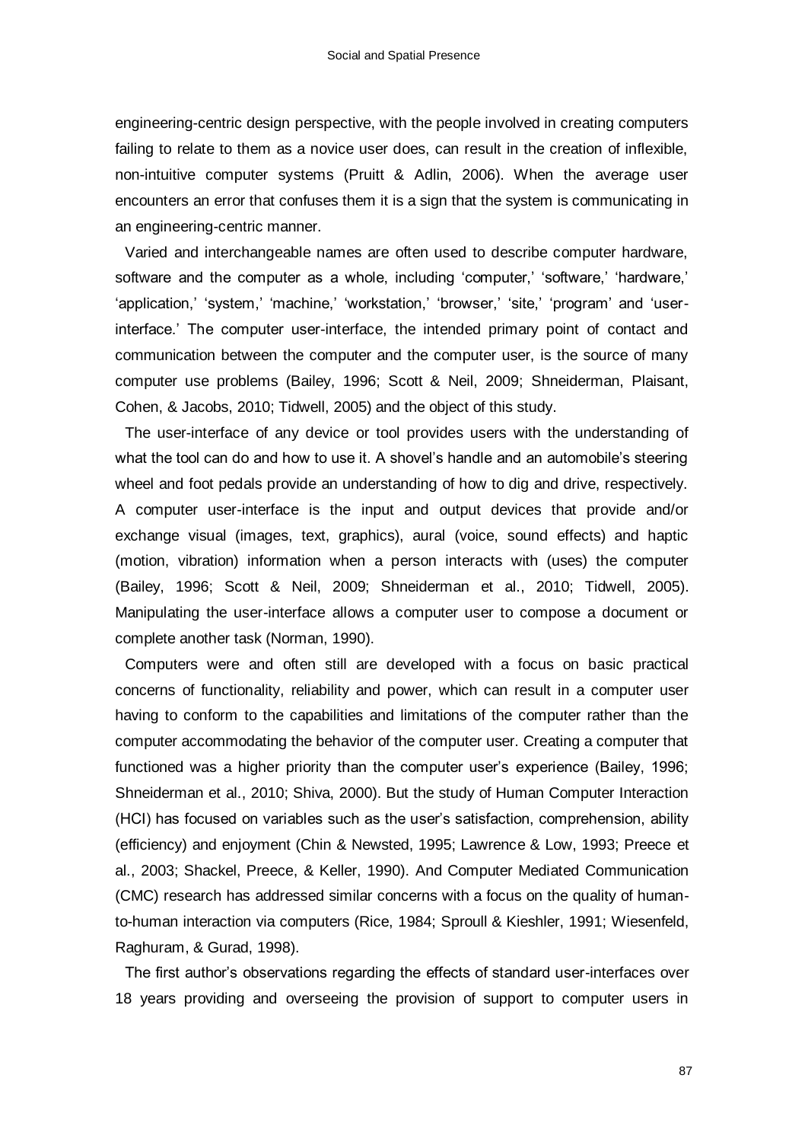engineering-centric design perspective, with the people involved in creating computers failing to relate to them as a novice user does, can result in the creation of inflexible, non-intuitive computer systems (Pruitt & Adlin, 2006). When the average user encounters an error that confuses them it is a sign that the system is communicating in an engineering-centric manner.

Varied and interchangeable names are often used to describe computer hardware, software and the computer as a whole, including 'computer,' 'software,' 'hardware,' 'application,' 'system,' 'machine,' 'workstation,' 'browser,' 'site,' 'program' and 'userinterface." The computer user-interface, the intended primary point of contact and communication between the computer and the computer user, is the source of many computer use problems (Bailey, 1996; Scott & Neil, 2009; Shneiderman, Plaisant, Cohen, & Jacobs, 2010; Tidwell, 2005) and the object of this study.

The user-interface of any device or tool provides users with the understanding of what the tool can do and how to use it. A shovel's handle and an automobile's steering wheel and foot pedals provide an understanding of how to dig and drive, respectively. A computer user-interface is the input and output devices that provide and/or exchange visual (images, text, graphics), aural (voice, sound effects) and haptic (motion, vibration) information when a person interacts with (uses) the computer (Bailey, 1996; Scott & Neil, 2009; Shneiderman et al., 2010; Tidwell, 2005). Manipulating the user-interface allows a computer user to compose a document or complete another task (Norman, 1990).

Computers were and often still are developed with a focus on basic practical concerns of functionality, reliability and power, which can result in a computer user having to conform to the capabilities and limitations of the computer rather than the computer accommodating the behavior of the computer user. Creating a computer that functioned was a higher priority than the computer user's experience (Bailey, 1996; Shneiderman et al., 2010; Shiva, 2000). But the study of Human Computer Interaction (HCI) has focused on variables such as the user"s satisfaction, comprehension, ability (efficiency) and enjoyment (Chin & Newsted, 1995; Lawrence & Low, 1993; Preece et al., 2003; Shackel, Preece, & Keller, 1990). And Computer Mediated Communication (CMC) research has addressed similar concerns with a focus on the quality of humanto-human interaction via computers (Rice, 1984; Sproull & Kieshler, 1991; Wiesenfeld, Raghuram, & Gurad, 1998).

The first author"s observations regarding the effects of standard user-interfaces over 18 years providing and overseeing the provision of support to computer users in

87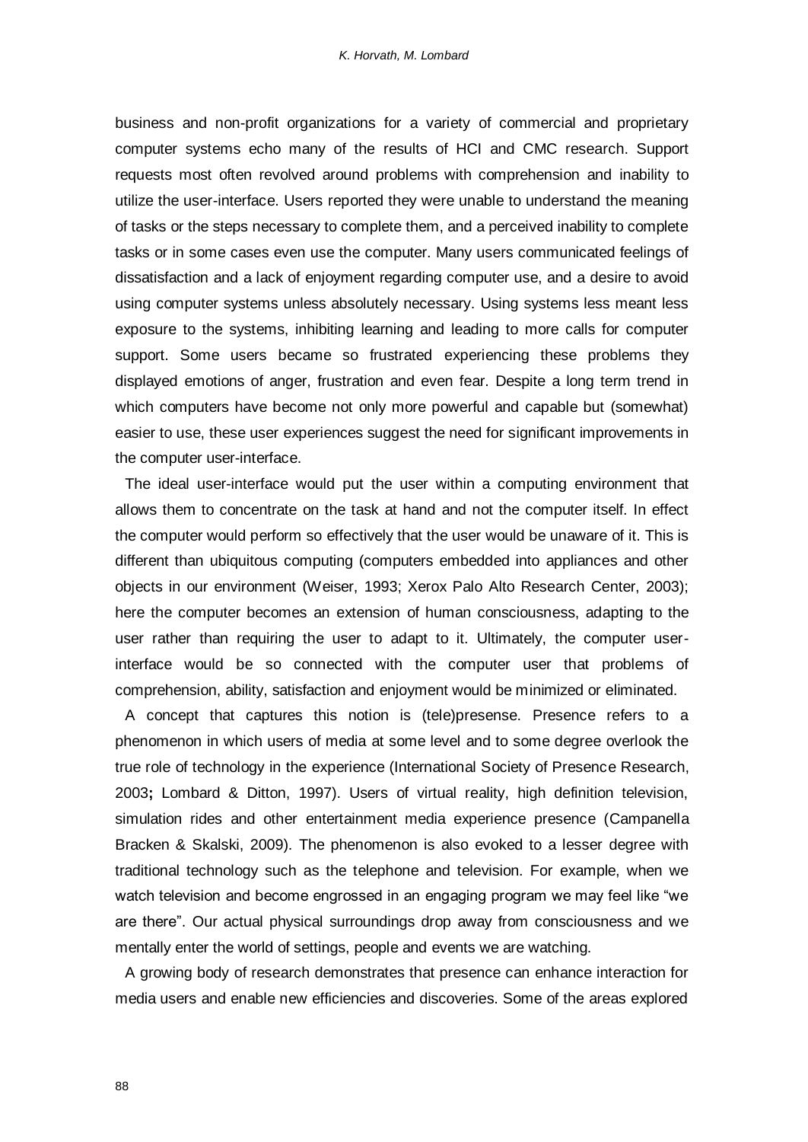business and non-profit organizations for a variety of commercial and proprietary computer systems echo many of the results of HCI and CMC research. Support requests most often revolved around problems with comprehension and inability to utilize the user-interface. Users reported they were unable to understand the meaning of tasks or the steps necessary to complete them, and a perceived inability to complete tasks or in some cases even use the computer. Many users communicated feelings of dissatisfaction and a lack of enjoyment regarding computer use, and a desire to avoid using computer systems unless absolutely necessary. Using systems less meant less exposure to the systems, inhibiting learning and leading to more calls for computer support. Some users became so frustrated experiencing these problems they displayed emotions of anger, frustration and even fear. Despite a long term trend in which computers have become not only more powerful and capable but (somewhat) easier to use, these user experiences suggest the need for significant improvements in the computer user-interface.

The ideal user-interface would put the user within a computing environment that allows them to concentrate on the task at hand and not the computer itself. In effect the computer would perform so effectively that the user would be unaware of it. This is different than ubiquitous computing (computers embedded into appliances and other objects in our environment (Weiser, 1993; Xerox Palo Alto Research Center, 2003); here the computer becomes an extension of human consciousness, adapting to the user rather than requiring the user to adapt to it. Ultimately, the computer userinterface would be so connected with the computer user that problems of comprehension, ability, satisfaction and enjoyment would be minimized or eliminated.

A concept that captures this notion is (tele)presense. Presence refers to a phenomenon in which users of media at some level and to some degree overlook the true role of technology in the experience (International Society of Presence Research, 2003**;** Lombard & Ditton, 1997). Users of virtual reality, high definition television, simulation rides and other entertainment media experience presence (Campanella Bracken & Skalski, 2009). The phenomenon is also evoked to a lesser degree with traditional technology such as the telephone and television. For example, when we watch television and become engrossed in an engaging program we may feel like "we are there". Our actual physical surroundings drop away from consciousness and we mentally enter the world of settings, people and events we are watching.

A growing body of research demonstrates that presence can enhance interaction for media users and enable new efficiencies and discoveries. Some of the areas explored

88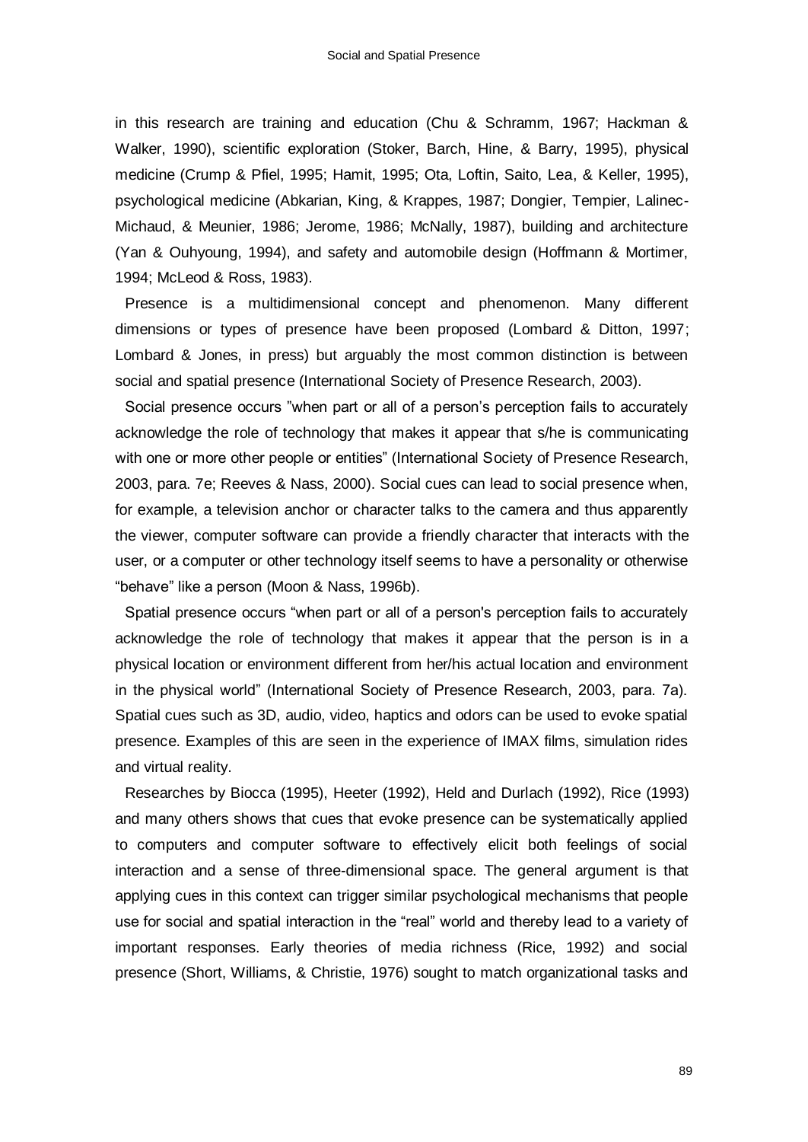in this research are training and education (Chu & Schramm, 1967; Hackman & Walker, 1990), scientific exploration (Stoker, Barch, Hine, & Barry, 1995), physical medicine (Crump & Pfiel, 1995; Hamit, 1995; Ota, Loftin, Saito, Lea, & Keller, 1995), psychological medicine (Abkarian, King, & Krappes, 1987; Dongier, Tempier, Lalinec-Michaud, & Meunier, 1986; Jerome, 1986; McNally, 1987), building and architecture (Yan & Ouhyoung, 1994), and safety and automobile design (Hoffmann & Mortimer, 1994; McLeod & Ross, 1983).

Presence is a multidimensional concept and phenomenon. Many different dimensions or types of presence have been proposed (Lombard & Ditton, 1997; Lombard & Jones, in press) but arguably the most common distinction is between social and spatial presence (International Society of Presence Research, 2003).

Social presence occurs "when part or all of a person"s perception fails to accurately acknowledge the role of technology that makes it appear that s/he is communicating with one or more other people or entities" (International Society of Presence Research, 2003, para. 7e; Reeves & Nass, 2000). Social cues can lead to social presence when, for example, a television anchor or character talks to the camera and thus apparently the viewer, computer software can provide a friendly character that interacts with the user, or a computer or other technology itself seems to have a personality or otherwise "behave" like a person (Moon & Nass, 1996b).

Spatial presence occurs "when part or all of a person's perception fails to accurately acknowledge the role of technology that makes it appear that the person is in a physical location or environment different from her/his actual location and environment in the physical world" (International Society of Presence Research, 2003, para. 7a). Spatial cues such as 3D, audio, video, haptics and odors can be used to evoke spatial presence. Examples of this are seen in the experience of IMAX films, simulation rides and virtual reality.

Researches by Biocca (1995), Heeter (1992), Held and Durlach (1992), Rice (1993) and many others shows that cues that evoke presence can be systematically applied to computers and computer software to effectively elicit both feelings of social interaction and a sense of three-dimensional space. The general argument is that applying cues in this context can trigger similar psychological mechanisms that people use for social and spatial interaction in the "real" world and thereby lead to a variety of important responses. Early theories of media richness (Rice, 1992) and social presence (Short, Williams, & Christie, 1976) sought to match organizational tasks and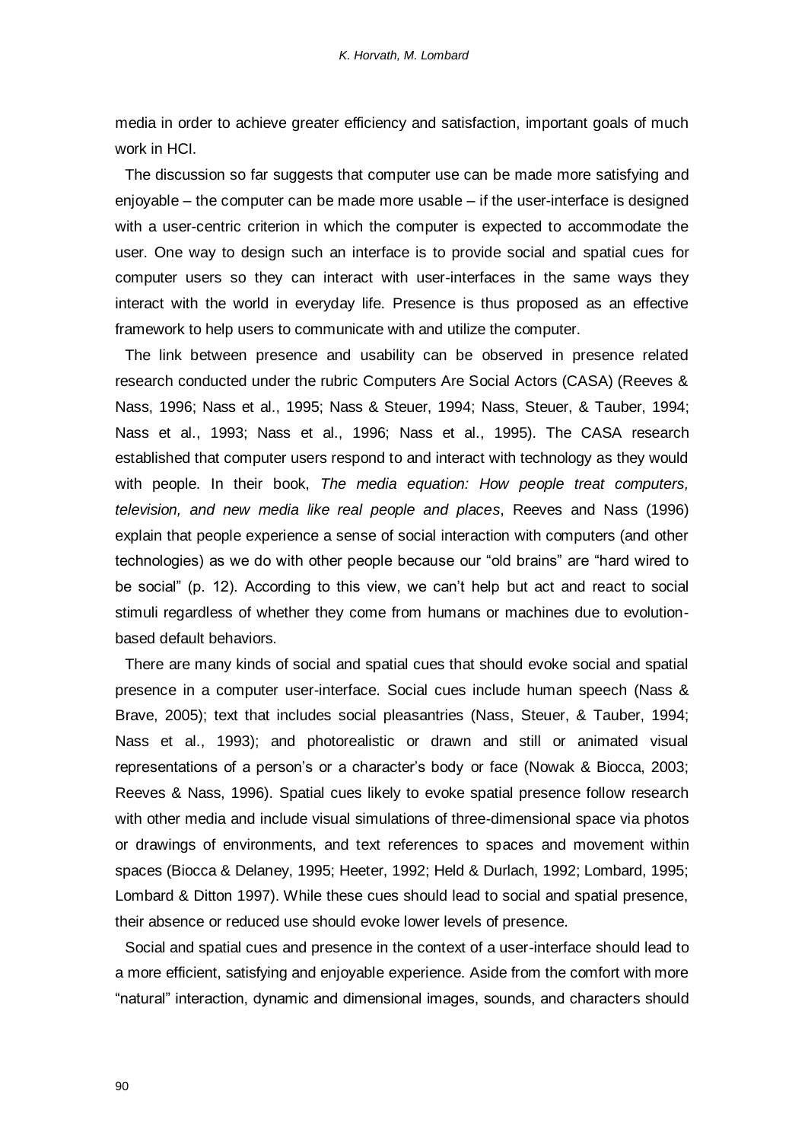media in order to achieve greater efficiency and satisfaction, important goals of much work in HCI.

The discussion so far suggests that computer use can be made more satisfying and enjoyable – the computer can be made more usable – if the user-interface is designed with a user-centric criterion in which the computer is expected to accommodate the user. One way to design such an interface is to provide social and spatial cues for computer users so they can interact with user-interfaces in the same ways they interact with the world in everyday life. Presence is thus proposed as an effective framework to help users to communicate with and utilize the computer.

The link between presence and usability can be observed in presence related research conducted under the rubric Computers Are Social Actors (CASA) (Reeves & Nass, 1996; Nass et al., 1995; Nass & Steuer, 1994; Nass, Steuer, & Tauber, 1994; Nass et al., 1993; Nass et al., 1996; Nass et al., 1995). The CASA research established that computer users respond to and interact with technology as they would with people. In their book, *The media equation: How people treat computers, television, and new media like real people and places*, Reeves and Nass (1996) explain that people experience a sense of social interaction with computers (and other technologies) as we do with other people because our "old brains" are "hard wired to be social" (p. 12). According to this view, we can't help but act and react to social stimuli regardless of whether they come from humans or machines due to evolutionbased default behaviors.

There are many kinds of social and spatial cues that should evoke social and spatial presence in a computer user-interface. Social cues include human speech (Nass & Brave, 2005); text that includes social pleasantries (Nass, Steuer, & Tauber, 1994; Nass et al., 1993); and photorealistic or drawn and still or animated visual representations of a person's or a character's body or face (Nowak & Biocca, 2003; Reeves & Nass, 1996). Spatial cues likely to evoke spatial presence follow research with other media and include visual simulations of three-dimensional space via photos or drawings of environments, and text references to spaces and movement within spaces (Biocca & Delaney, 1995; Heeter, 1992; Held & Durlach, 1992; Lombard, 1995; Lombard & Ditton 1997). While these cues should lead to social and spatial presence, their absence or reduced use should evoke lower levels of presence.

Social and spatial cues and presence in the context of a user-interface should lead to a more efficient, satisfying and enjoyable experience. Aside from the comfort with more "natural" interaction, dynamic and dimensional images, sounds, and characters should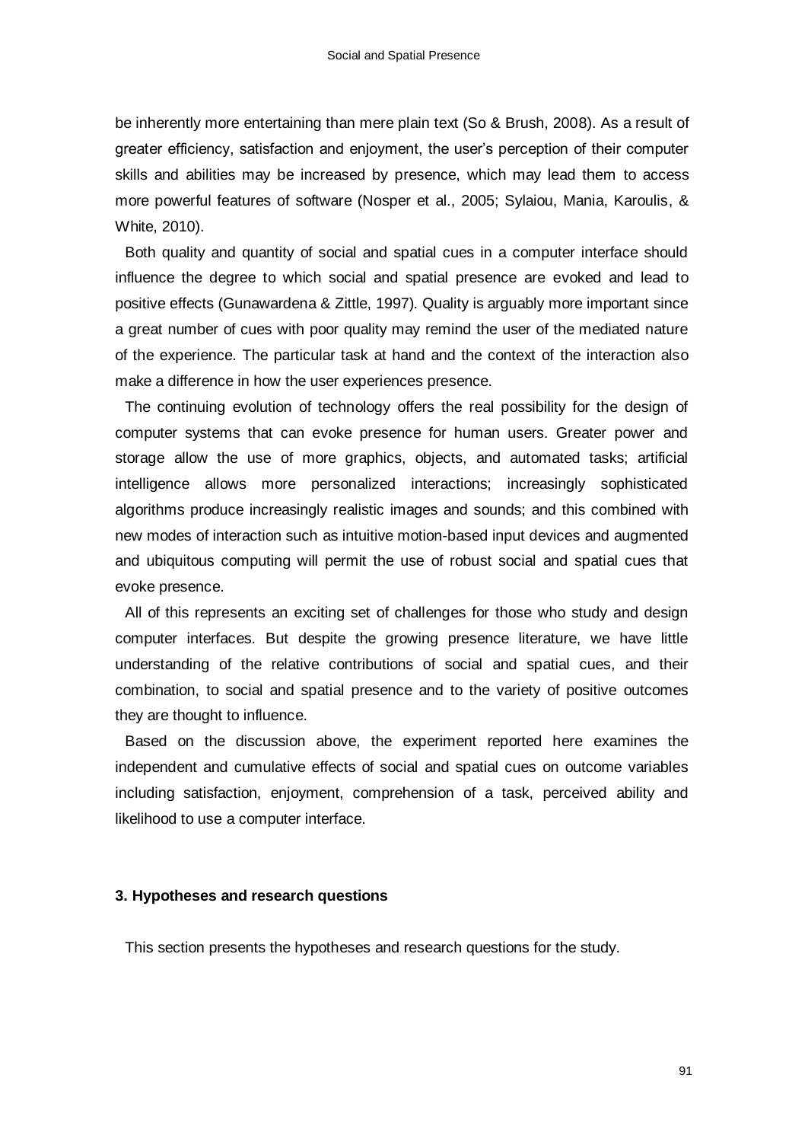be inherently more entertaining than mere plain text (So & Brush, 2008). As a result of greater efficiency, satisfaction and enjoyment, the user"s perception of their computer skills and abilities may be increased by presence, which may lead them to access more powerful features of software (Nosper et al., 2005; Sylaiou, Mania, Karoulis, & White, 2010).

Both quality and quantity of social and spatial cues in a computer interface should influence the degree to which social and spatial presence are evoked and lead to positive effects (Gunawardena & Zittle, 1997). Quality is arguably more important since a great number of cues with poor quality may remind the user of the mediated nature of the experience. The particular task at hand and the context of the interaction also make a difference in how the user experiences presence.

The continuing evolution of technology offers the real possibility for the design of computer systems that can evoke presence for human users. Greater power and storage allow the use of more graphics, objects, and automated tasks; artificial intelligence allows more personalized interactions; increasingly sophisticated algorithms produce increasingly realistic images and sounds; and this combined with new modes of interaction such as intuitive motion-based input devices and augmented and ubiquitous computing will permit the use of robust social and spatial cues that evoke presence.

All of this represents an exciting set of challenges for those who study and design computer interfaces. But despite the growing presence literature, we have little understanding of the relative contributions of social and spatial cues, and their combination, to social and spatial presence and to the variety of positive outcomes they are thought to influence.

Based on the discussion above, the experiment reported here examines the independent and cumulative effects of social and spatial cues on outcome variables including satisfaction, enjoyment, comprehension of a task, perceived ability and likelihood to use a computer interface.

#### **3. Hypotheses and research questions**

This section presents the hypotheses and research questions for the study.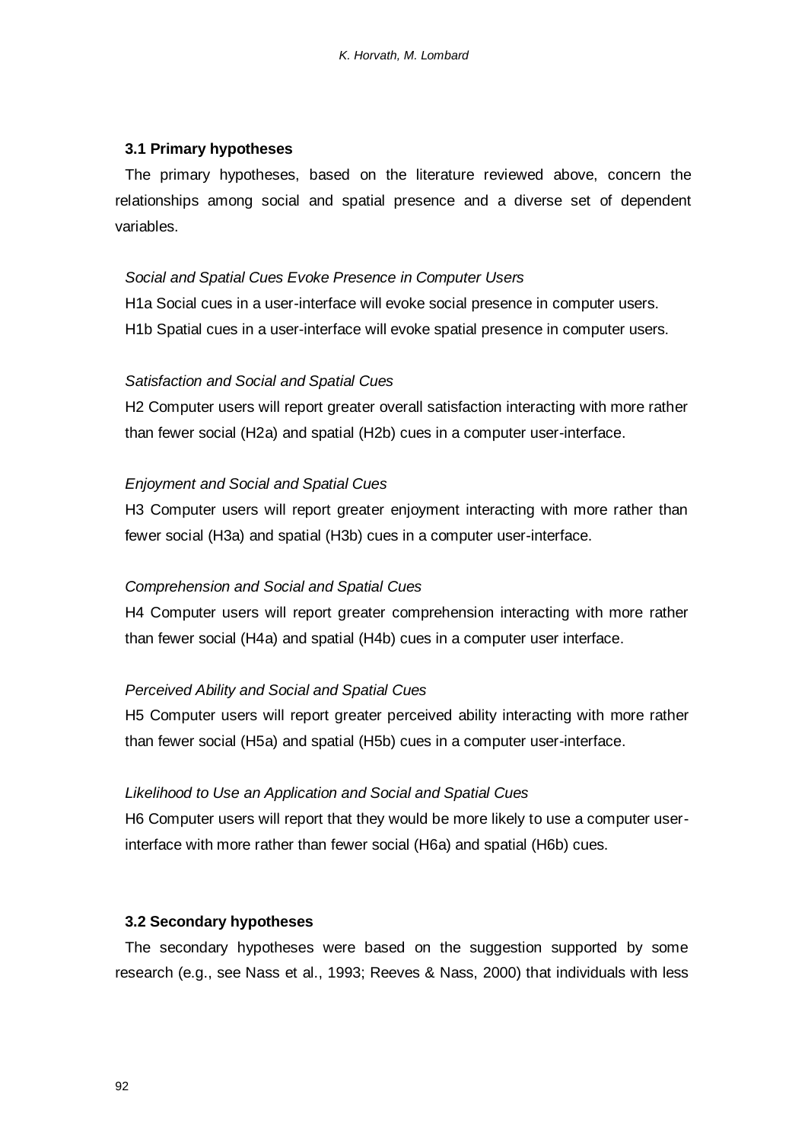# **3.1 Primary hypotheses**

The primary hypotheses, based on the literature reviewed above, concern the relationships among social and spatial presence and a diverse set of dependent variables.

# *Social and Spatial Cues Evoke Presence in Computer Users*

H1a Social cues in a user-interface will evoke social presence in computer users. H1b Spatial cues in a user-interface will evoke spatial presence in computer users.

## *Satisfaction and Social and Spatial Cues*

H2 Computer users will report greater overall satisfaction interacting with more rather than fewer social (H2a) and spatial (H2b) cues in a computer user-interface.

## *Enjoyment and Social and Spatial Cues*

H3 Computer users will report greater enjoyment interacting with more rather than fewer social (H3a) and spatial (H3b) cues in a computer user-interface.

## *Comprehension and Social and Spatial Cues*

H4 Computer users will report greater comprehension interacting with more rather than fewer social (H4a) and spatial (H4b) cues in a computer user interface.

## *Perceived Ability and Social and Spatial Cues*

H5 Computer users will report greater perceived ability interacting with more rather than fewer social (H5a) and spatial (H5b) cues in a computer user-interface.

# *Likelihood to Use an Application and Social and Spatial Cues*

H6 Computer users will report that they would be more likely to use a computer userinterface with more rather than fewer social (H6a) and spatial (H6b) cues.

## **3.2 Secondary hypotheses**

The secondary hypotheses were based on the suggestion supported by some research (e.g., see Nass et al., 1993; Reeves & Nass, 2000) that individuals with less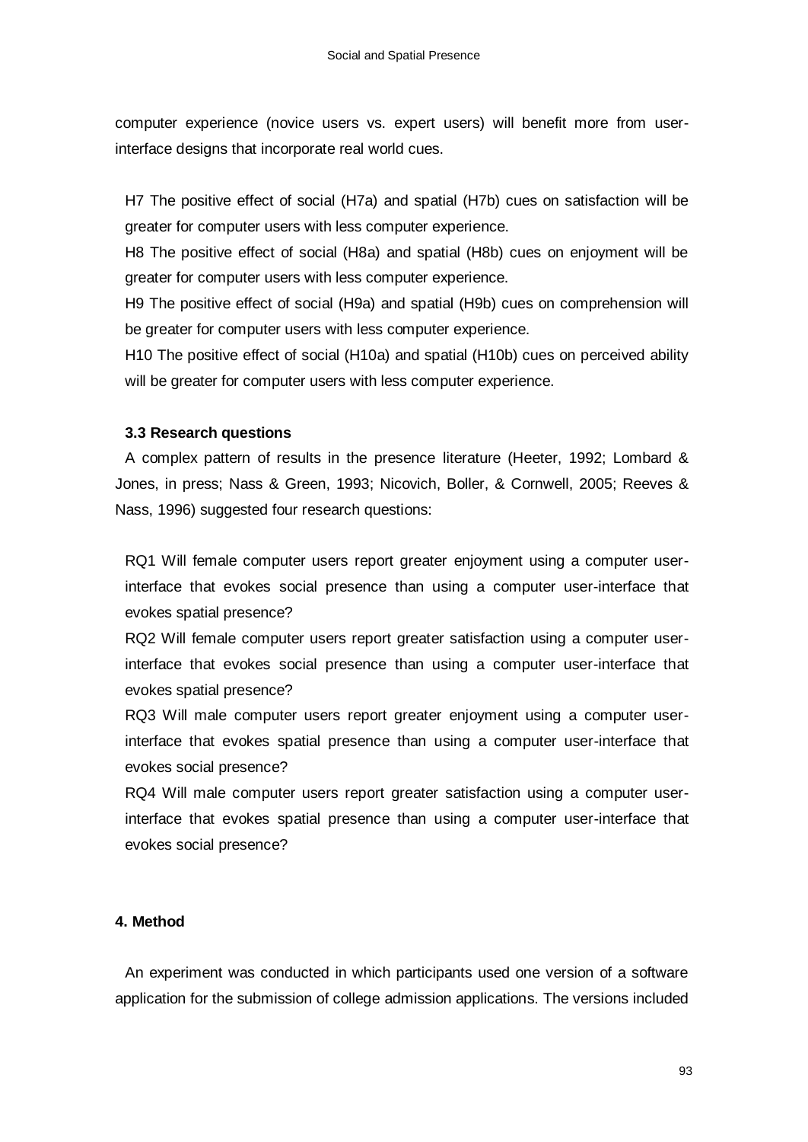computer experience (novice users vs. expert users) will benefit more from userinterface designs that incorporate real world cues.

H7 The positive effect of social (H7a) and spatial (H7b) cues on satisfaction will be greater for computer users with less computer experience.

H8 The positive effect of social (H8a) and spatial (H8b) cues on enjoyment will be greater for computer users with less computer experience.

H9 The positive effect of social (H9a) and spatial (H9b) cues on comprehension will be greater for computer users with less computer experience.

H10 The positive effect of social (H10a) and spatial (H10b) cues on perceived ability will be greater for computer users with less computer experience.

# **3.3 Research questions**

A complex pattern of results in the presence literature (Heeter, 1992; Lombard & Jones, in press; Nass & Green, 1993; Nicovich, Boller, & Cornwell, 2005; Reeves & Nass, 1996) suggested four research questions:

RQ1 Will female computer users report greater enjoyment using a computer userinterface that evokes social presence than using a computer user-interface that evokes spatial presence?

RQ2 Will female computer users report greater satisfaction using a computer userinterface that evokes social presence than using a computer user-interface that evokes spatial presence?

RQ3 Will male computer users report greater enjoyment using a computer userinterface that evokes spatial presence than using a computer user-interface that evokes social presence?

RQ4 Will male computer users report greater satisfaction using a computer userinterface that evokes spatial presence than using a computer user-interface that evokes social presence?

# **4. Method**

An experiment was conducted in which participants used one version of a software application for the submission of college admission applications. The versions included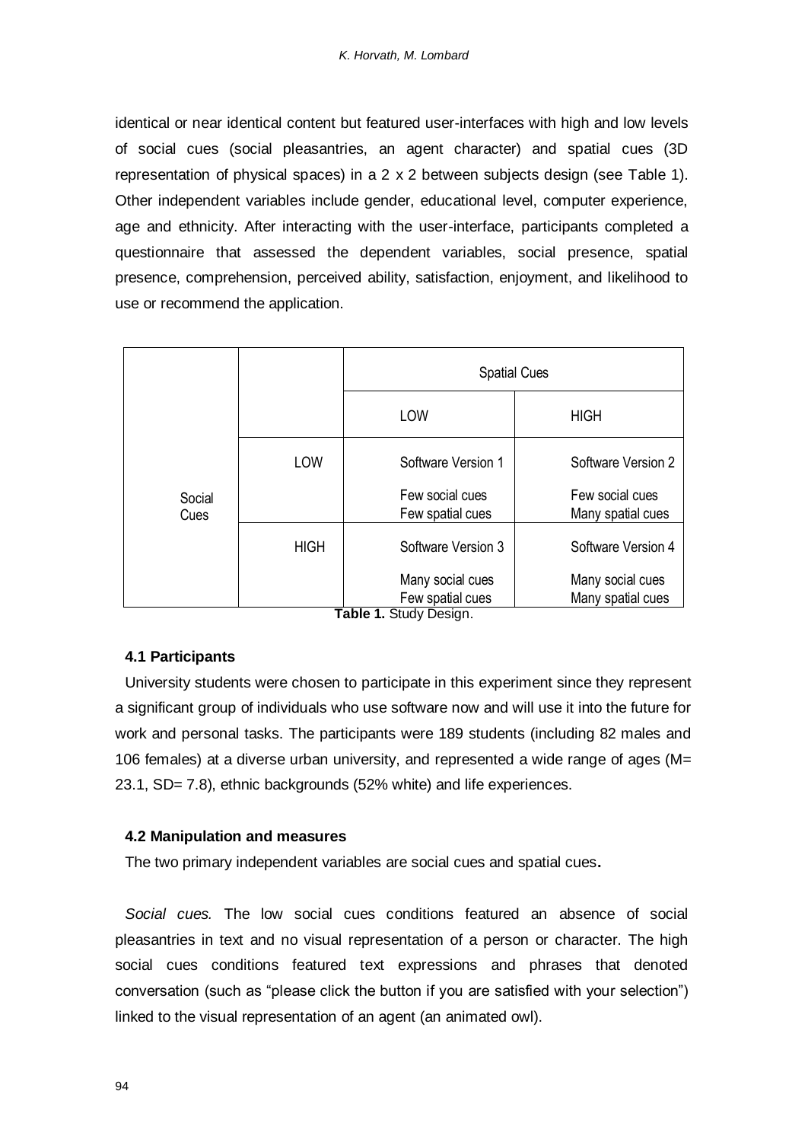identical or near identical content but featured user-interfaces with high and low levels of social cues (social pleasantries, an agent character) and spatial cues (3D representation of physical spaces) in a 2 x 2 between subjects design (see Table 1). Other independent variables include gender, educational level, computer experience, age and ethnicity. After interacting with the user-interface, participants completed a questionnaire that assessed the dependent variables, social presence, spatial presence, comprehension, perceived ability, satisfaction, enjoyment, and likelihood to use or recommend the application.

|                |             | <b>Spatial Cues</b>                                                      |                                       |
|----------------|-------------|--------------------------------------------------------------------------|---------------------------------------|
|                |             | LOW                                                                      | <b>HIGH</b>                           |
|                | LOW         | Software Version 1                                                       | Software Version 2                    |
| Social<br>Cues |             | Few social cues<br>Few spatial cues                                      | Few social cues<br>Many spatial cues  |
|                | <b>HIGH</b> | Software Version 3                                                       | Software Version 4                    |
|                |             | Many social cues<br>Few spatial cues<br>エュレーュ<br>$Q_1, A, B, A, A, A, A$ | Many social cues<br>Many spatial cues |

**Table 1.** Study Design.

## **4.1 Participants**

University students were chosen to participate in this experiment since they represent a significant group of individuals who use software now and will use it into the future for work and personal tasks. The participants were 189 students (including 82 males and 106 females) at a diverse urban university, and represented a wide range of ages (M= 23.1, SD= 7.8), ethnic backgrounds (52% white) and life experiences.

## **4.2 Manipulation and measures**

The two primary independent variables are social cues and spatial cues**.**

*Social cues.* The low social cues conditions featured an absence of social pleasantries in text and no visual representation of a person or character. The high social cues conditions featured text expressions and phrases that denoted conversation (such as "please click the button if you are satisfied with your selection") linked to the visual representation of an agent (an animated owl).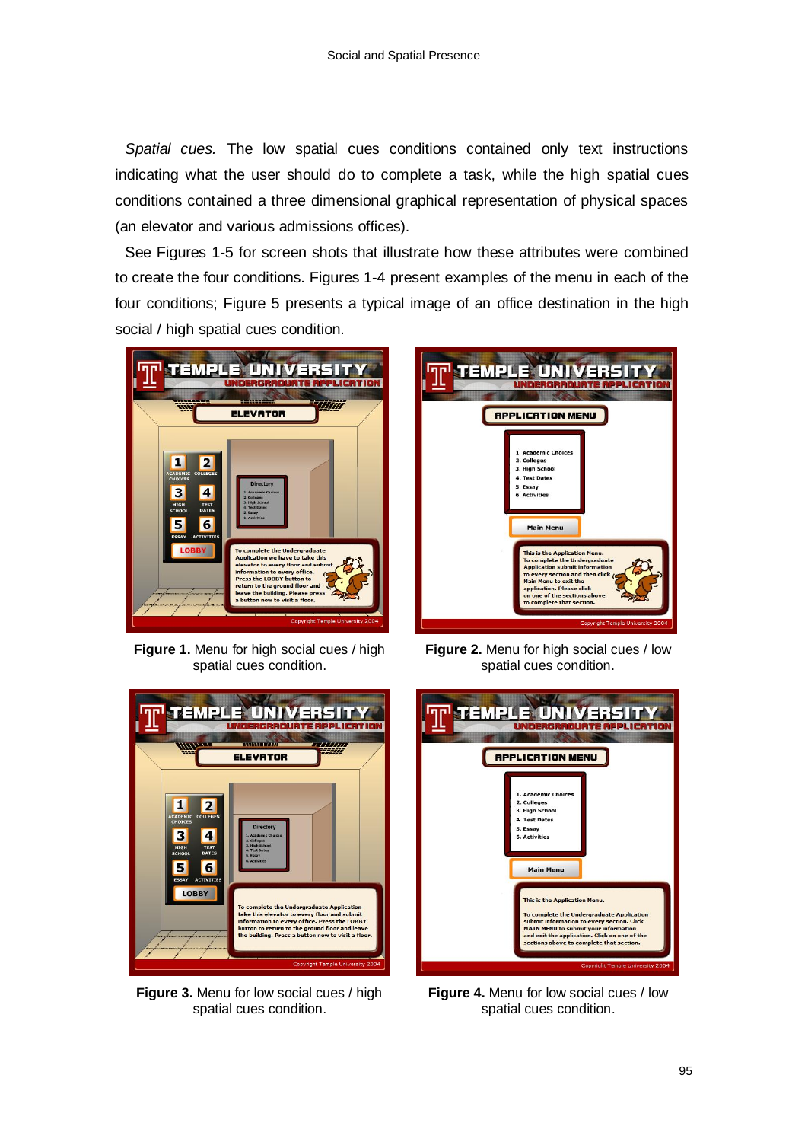*Spatial cues.* The low spatial cues conditions contained only text instructions indicating what the user should do to complete a task, while the high spatial cues conditions contained a three dimensional graphical representation of physical spaces (an elevator and various admissions offices).

See Figures 1-5 for screen shots that illustrate how these attributes were combined to create the four conditions. Figures 1-4 present examples of the menu in each of the four conditions; Figure 5 presents a typical image of an office destination in the high social / high spatial cues condition.



**Figure 1.** Menu for high social cues / high spatial cues condition.



**Figure 2.** Menu for high social cues / low spatial cues condition.



**Figure 3.** Menu for low social cues / high spatial cues condition.



**Figure 4.** Menu for low social cues / low spatial cues condition.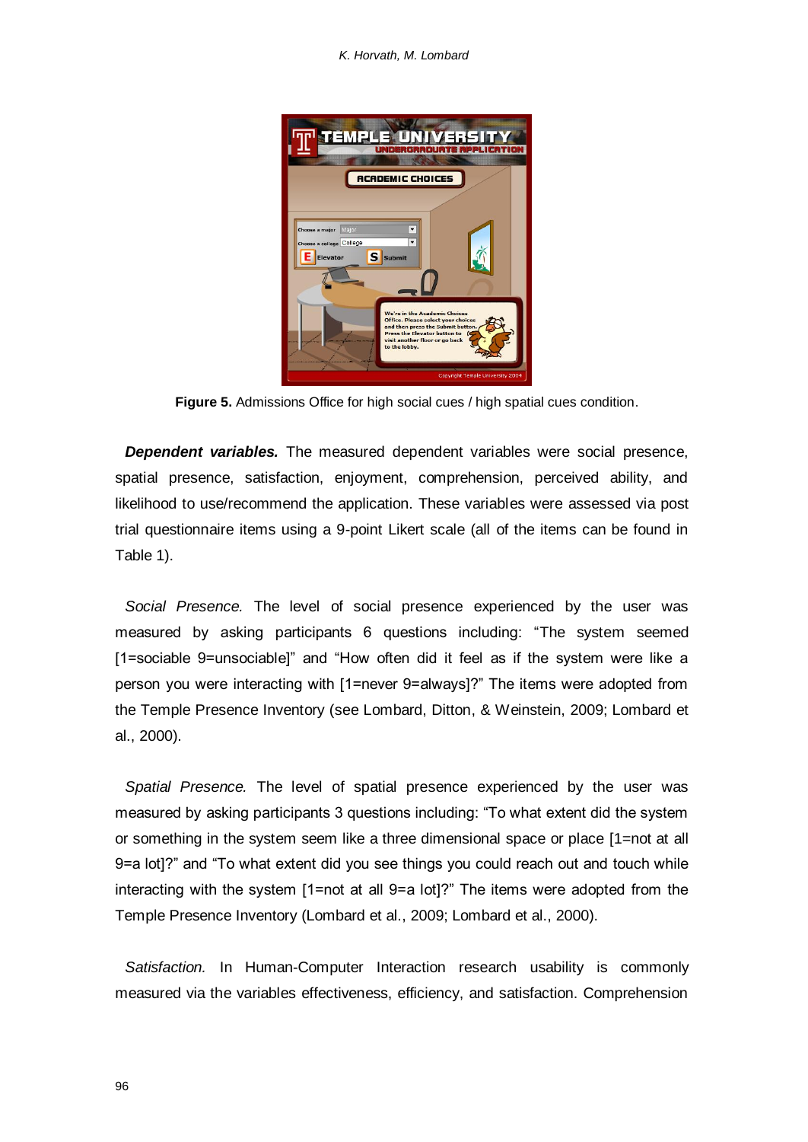*K. Horvath, M. Lombard*



**Figure 5.** Admissions Office for high social cues / high spatial cues condition.

*Dependent variables.* The measured dependent variables were social presence, spatial presence, satisfaction, enjoyment, comprehension, perceived ability, and likelihood to use/recommend the application. These variables were assessed via post trial questionnaire items using a 9-point Likert scale (all of the items can be found in Table 1).

*Social Presence.* The level of social presence experienced by the user was measured by asking participants 6 questions including: "The system seemed [1=sociable 9=unsociable]" and "How often did it feel as if the system were like a person you were interacting with [1=never 9=always]?" The items were adopted from the Temple Presence Inventory (see Lombard, Ditton, & Weinstein, 2009; Lombard et al., 2000).

*Spatial Presence.* The level of spatial presence experienced by the user was measured by asking participants 3 questions including: "To what extent did the system or something in the system seem like a three dimensional space or place [1=not at all 9=a lot]?" and "To what extent did you see things you could reach out and touch while interacting with the system [1=not at all 9=a lot]?" The items were adopted from the Temple Presence Inventory (Lombard et al., 2009; Lombard et al., 2000).

*Satisfaction.* In Human-Computer Interaction research usability is commonly measured via the variables effectiveness, efficiency, and satisfaction. Comprehension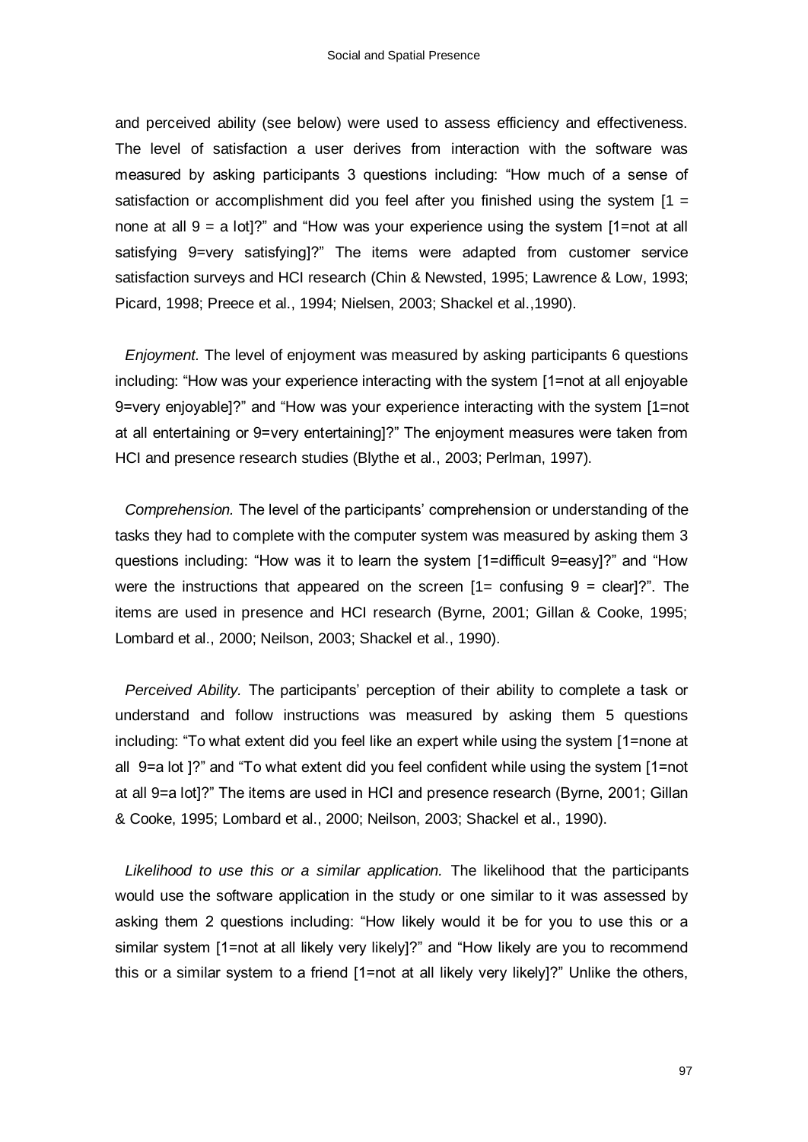and perceived ability (see below) were used to assess efficiency and effectiveness. The level of satisfaction a user derives from interaction with the software was measured by asking participants 3 questions including: "How much of a sense of satisfaction or accomplishment did you feel after you finished using the system  $[1 =$ none at all 9 = a lot]?" and "How was your experience using the system [1=not at all satisfying 9=very satisfying]?" The items were adapted from customer service satisfaction surveys and HCI research (Chin & Newsted, 1995; Lawrence & Low, 1993; Picard, 1998; Preece et al., 1994; Nielsen, 2003; Shackel et al.,1990).

*Enjoyment.* The level of enjoyment was measured by asking participants 6 questions including: "How was your experience interacting with the system [1=not at all enjoyable 9=very enjoyable]?" and "How was your experience interacting with the system [1=not at all entertaining or 9=very entertaining]?" The enjoyment measures were taken from HCI and presence research studies (Blythe et al., 2003; Perlman, 1997).

*Comprehension.* The level of the participants" comprehension or understanding of the tasks they had to complete with the computer system was measured by asking them 3 questions including: "How was it to learn the system [1=difficult 9=easy]?" and "How were the instructions that appeared on the screen  $[1=$  confusing  $9 =$  clear]?". The items are used in presence and HCI research (Byrne, 2001; Gillan & Cooke, 1995; Lombard et al., 2000; Neilson, 2003; Shackel et al., 1990).

*Perceived Ability.* The participants" perception of their ability to complete a task or understand and follow instructions was measured by asking them 5 questions including: "To what extent did you feel like an expert while using the system [1=none at all 9=a lot ]?" and "To what extent did you feel confident while using the system [1=not at all 9=a lot]?" The items are used in HCI and presence research (Byrne, 2001; Gillan & Cooke, 1995; Lombard et al., 2000; Neilson, 2003; Shackel et al., 1990).

*Likelihood to use this or a similar application.* The likelihood that the participants would use the software application in the study or one similar to it was assessed by asking them 2 questions including: "How likely would it be for you to use this or a similar system [1=not at all likely very likely]?" and "How likely are you to recommend this or a similar system to a friend [1=not at all likely very likely]?" Unlike the others,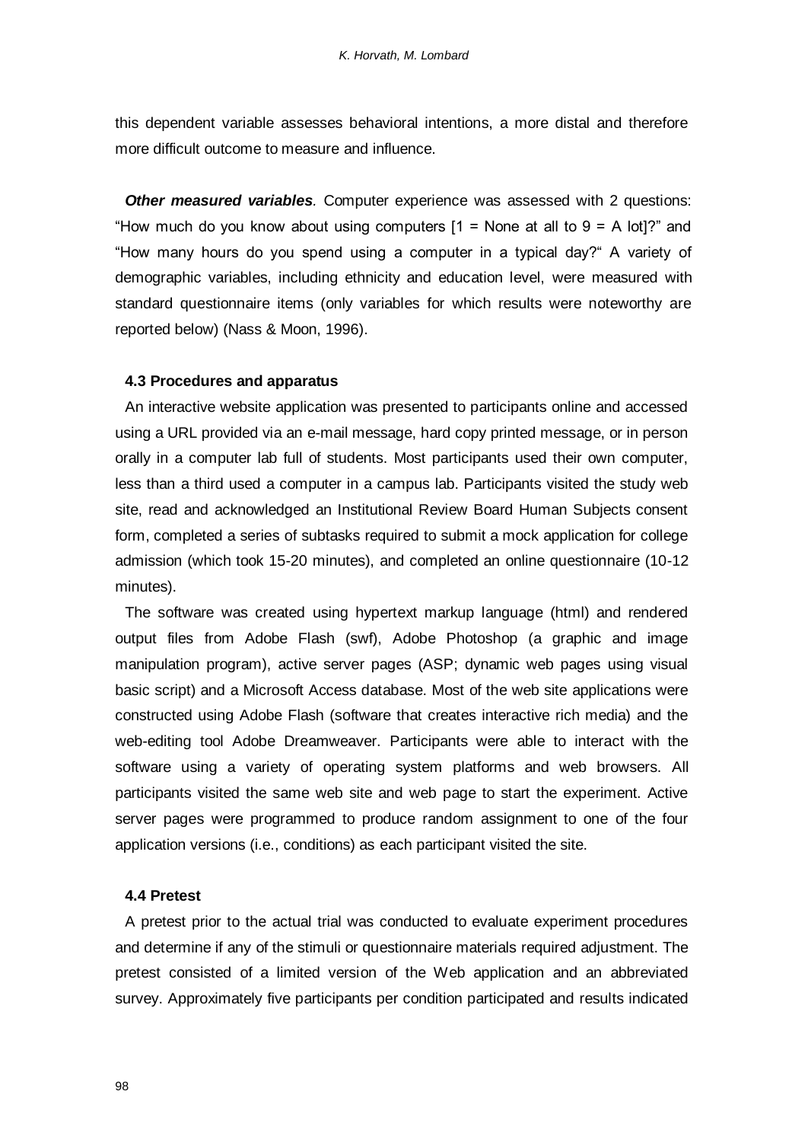this dependent variable assesses behavioral intentions, a more distal and therefore more difficult outcome to measure and influence.

**Other measured variables**. Computer experience was assessed with 2 questions: "How much do you know about using computers  $[1 =$  None at all to  $9 =$  A lot]?" and "How many hours do you spend using a computer in a typical day?" A variety of demographic variables, including ethnicity and education level, were measured with standard questionnaire items (only variables for which results were noteworthy are reported below) (Nass & Moon, 1996).

## **4.3 Procedures and apparatus**

An interactive website application was presented to participants online and accessed using a URL provided via an e-mail message, hard copy printed message, or in person orally in a computer lab full of students. Most participants used their own computer, less than a third used a computer in a campus lab. Participants visited the study web site, read and acknowledged an Institutional Review Board Human Subjects consent form, completed a series of subtasks required to submit a mock application for college admission (which took 15-20 minutes), and completed an online questionnaire (10-12 minutes).

The software was created using hypertext markup language (html) and rendered output files from Adobe Flash (swf), Adobe Photoshop (a graphic and image manipulation program), active server pages (ASP; dynamic web pages using visual basic script) and a Microsoft Access database. Most of the web site applications were constructed using Adobe Flash (software that creates interactive rich media) and the web-editing tool Adobe Dreamweaver. Participants were able to interact with the software using a variety of operating system platforms and web browsers. All participants visited the same web site and web page to start the experiment. Active server pages were programmed to produce random assignment to one of the four application versions (i.e., conditions) as each participant visited the site.

#### **4.4 Pretest**

A pretest prior to the actual trial was conducted to evaluate experiment procedures and determine if any of the stimuli or questionnaire materials required adjustment. The pretest consisted of a limited version of the Web application and an abbreviated survey. Approximately five participants per condition participated and results indicated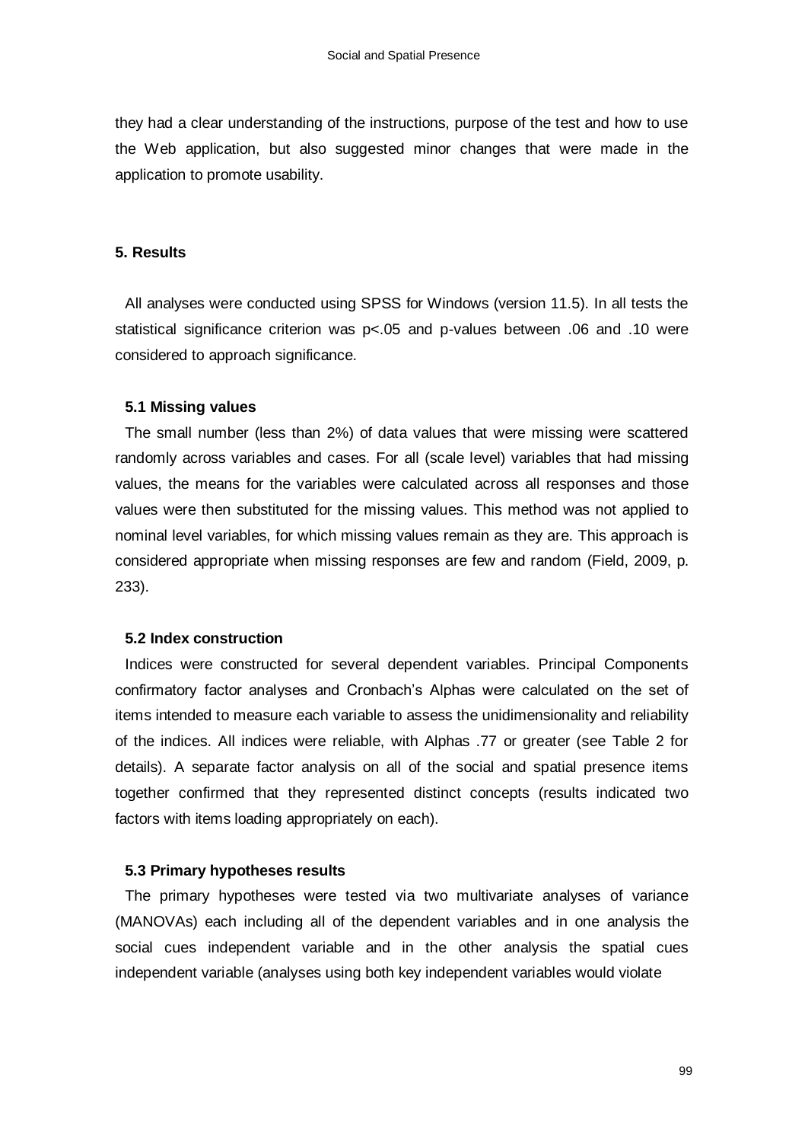they had a clear understanding of the instructions, purpose of the test and how to use the Web application, but also suggested minor changes that were made in the application to promote usability.

## **5. Results**

All analyses were conducted using SPSS for Windows (version 11.5). In all tests the statistical significance criterion was p<.05 and p-values between .06 and .10 were considered to approach significance.

#### **5.1 Missing values**

The small number (less than 2%) of data values that were missing were scattered randomly across variables and cases. For all (scale level) variables that had missing values, the means for the variables were calculated across all responses and those values were then substituted for the missing values. This method was not applied to nominal level variables, for which missing values remain as they are. This approach is considered appropriate when missing responses are few and random (Field, 2009, p. 233).

#### **5.2 Index construction**

Indices were constructed for several dependent variables. Principal Components confirmatory factor analyses and Cronbach"s Alphas were calculated on the set of items intended to measure each variable to assess the unidimensionality and reliability of the indices. All indices were reliable, with Alphas .77 or greater (see Table 2 for details). A separate factor analysis on all of the social and spatial presence items together confirmed that they represented distinct concepts (results indicated two factors with items loading appropriately on each).

#### **5.3 Primary hypotheses results**

The primary hypotheses were tested via two multivariate analyses of variance (MANOVAs) each including all of the dependent variables and in one analysis the social cues independent variable and in the other analysis the spatial cues independent variable (analyses using both key independent variables would violate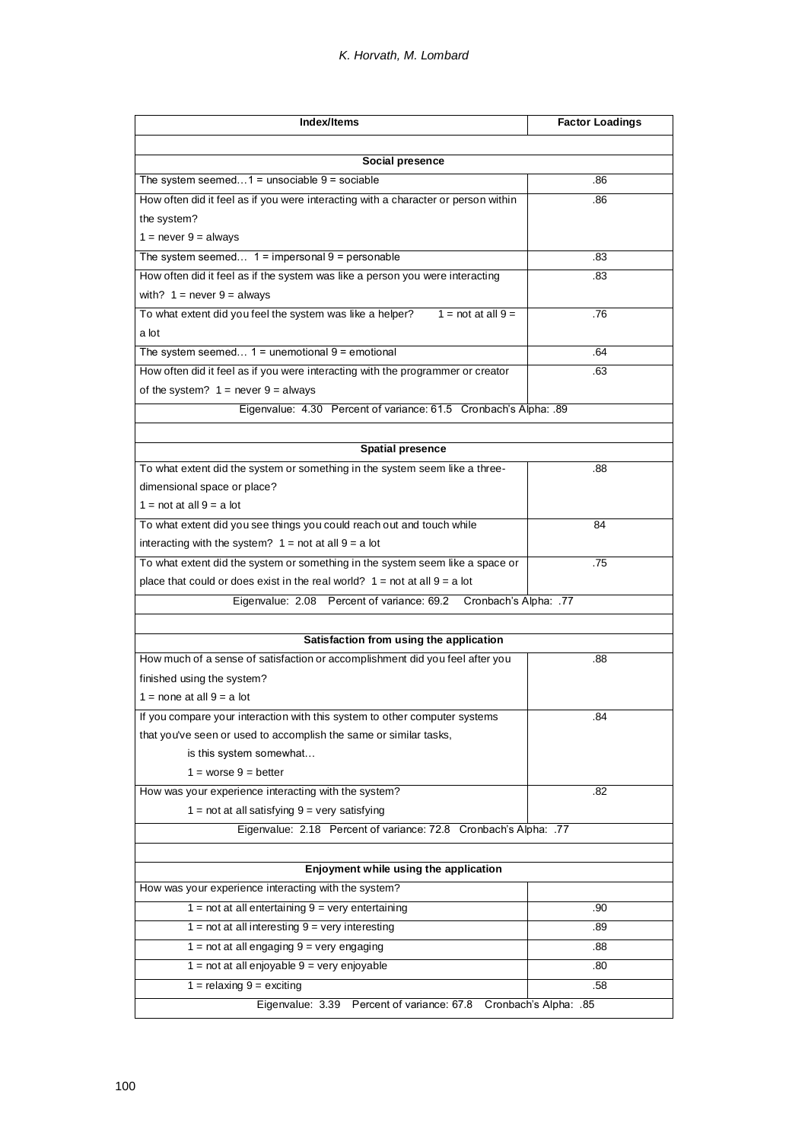| Index/Items                                                                               | <b>Factor Loadings</b> |
|-------------------------------------------------------------------------------------------|------------------------|
|                                                                                           |                        |
| Social presence                                                                           |                        |
| The system seemed $1 =$ unsociable $9 =$ sociable                                         | .86                    |
| How often did it feel as if you were interacting with a character or person within        | .86                    |
| the system?                                                                               |                        |
| $1 = never 9 = always$                                                                    |                        |
| The system seemed $1 =$ impersonal $9 =$ personable                                       | .83                    |
| How often did it feel as if the system was like a person you were interacting             | .83                    |
| with? $1 = never 9 = always$                                                              |                        |
| To what extent did you feel the system was like a helper?<br>$1 = \text{not at all } 9 =$ | .76                    |
| a lot                                                                                     |                        |
| The system seemed $1 =$ unemotional $9 =$ emotional                                       | .64                    |
| How often did it feel as if you were interacting with the programmer or creator           | .63                    |
| of the system? $1 =$ never $9 =$ always                                                   |                        |
| Eigenvalue: 4.30 Percent of variance: 61.5 Cronbach's Alpha: .89                          |                        |
|                                                                                           |                        |
| <b>Spatial presence</b>                                                                   |                        |
| To what extent did the system or something in the system seem like a three-               | .88                    |
| dimensional space or place?                                                               |                        |
| $1 = not at all 9 = a lot$                                                                |                        |
| To what extent did you see things you could reach out and touch while                     | 84                     |
| interacting with the system? $1 = not at all 9 = a lot$                                   |                        |
| To what extent did the system or something in the system seem like a space or             | .75                    |
| place that could or does exist in the real world? $1 = not at all 9 = a lot$              |                        |
| Eigenvalue: 2.08 Percent of variance: 69.2 Cronbach's Alpha: .77                          |                        |
|                                                                                           |                        |
| Satisfaction from using the application                                                   |                        |
| How much of a sense of satisfaction or accomplishment did you feel after you              | .88                    |
| finished using the system?                                                                |                        |
| $1 =$ none at all $9 = a$ lot                                                             |                        |
| If you compare your interaction with this system to other computer systems                | .84                    |
| that you've seen or used to accomplish the same or similar tasks,                         |                        |
| is this system somewhat                                                                   |                        |
| $1 = worse 9 = better$                                                                    |                        |
| How was your experience interacting with the system?                                      | .82                    |
| $1 = not$ at all satisfying $9 = very$ satisfying                                         |                        |
| Eigenvalue: 2.18 Percent of variance: 72.8 Cronbach's Alpha: .77                          |                        |
| Enjoyment while using the application                                                     |                        |
| How was your experience interacting with the system?                                      |                        |
| $1 = not$ at all entertaining $9 = very$ entertaining                                     | .90                    |
| $1 = not at all interesting 9 = very interesting$                                         | .89                    |
| $1 = not$ at all engaging $9 = very$ engaging                                             | .88                    |
| $1 = not at all enjoyable 9 = very enjoyable$                                             | .80                    |
| $1 =$ relaxing $9 =$ exciting                                                             | .58                    |
| Eigenvalue: 3.39 Percent of variance: 67.8                                                | Cronbach's Alpha: .85  |
|                                                                                           |                        |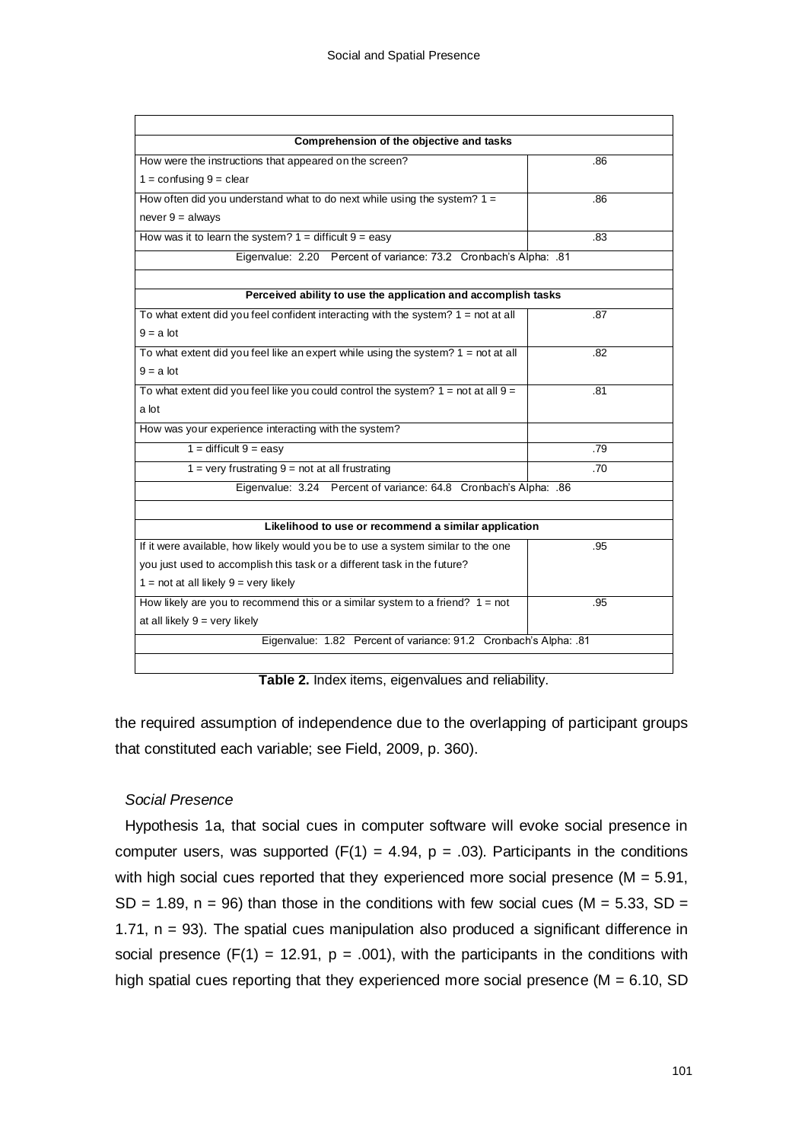| Comprehension of the objective and tasks                                                    |     |  |
|---------------------------------------------------------------------------------------------|-----|--|
| How were the instructions that appeared on the screen?                                      | .86 |  |
| $1 =$ confusing $9 =$ clear                                                                 |     |  |
| How often did you understand what to do next while using the system? $1 =$                  | .86 |  |
| $never 9 = always$                                                                          |     |  |
| How was it to learn the system? $1 =$ difficult $9 =$ easy                                  |     |  |
| Eigenvalue: 2.20 Percent of variance: 73.2 Cronbach's Alpha: .81                            |     |  |
|                                                                                             |     |  |
| Perceived ability to use the application and accomplish tasks                               |     |  |
| To what extent did you feel confident interacting with the system? $1 = not$ at all         | .87 |  |
| $9 = a$ lot                                                                                 |     |  |
| To what extent did you feel like an expert while using the system? $1 = not$ at all         | .82 |  |
| $9 = a$ lot                                                                                 |     |  |
| To what extent did you feel like you could control the system? $1 = \text{not at all } 9 =$ | .81 |  |
| a lot                                                                                       |     |  |
| How was your experience interacting with the system?                                        |     |  |
| $1 =$ difficult $9 = e$ asy                                                                 | .79 |  |
| $1 =$ very frustrating $9 =$ not at all frustrating                                         |     |  |
| Eigenvalue: 3.24 Percent of variance: 64.8 Cronbach's Alpha: .86                            |     |  |
|                                                                                             |     |  |
| Likelihood to use or recommend a similar application                                        |     |  |
| If it were available, how likely would you be to use a system similar to the one            | .95 |  |
| you just used to accomplish this task or a different task in the future?                    |     |  |
| $1 = not at all likely 9 = very likely$                                                     |     |  |
| How likely are you to recommend this or a similar system to a friend? $1 = not$             | .95 |  |
| at all likely $9 = \text{very likely}$                                                      |     |  |
| Eigenvalue: 1.82 Percent of variance: 91.2 Cronbach's Alpha: .81                            |     |  |

**Table 2.** Index items, eigenvalues and reliability.

the required assumption of independence due to the overlapping of participant groups that constituted each variable; see Field, 2009, p. 360).

# *Social Presence*

Hypothesis 1a, that social cues in computer software will evoke social presence in computer users, was supported  $(F(1) = 4.94, p = .03)$ . Participants in the conditions with high social cues reported that they experienced more social presence ( $M = 5.91$ ,  $SD = 1.89$ ,  $n = 96$ ) than those in the conditions with few social cues (M = 5.33, SD = 1.71,  $n = 93$ ). The spatial cues manipulation also produced a significant difference in social presence  $(F(1) = 12.91, p = .001)$ , with the participants in the conditions with high spatial cues reporting that they experienced more social presence ( $M = 6.10$ , SD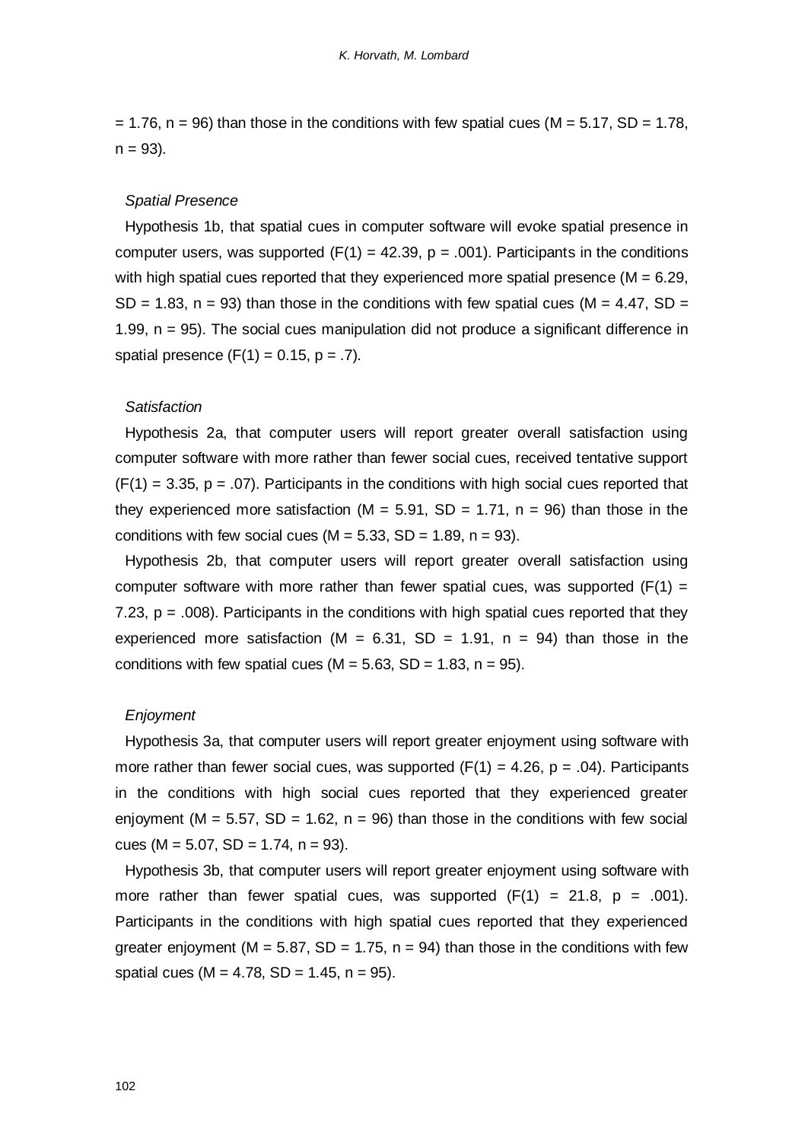$= 1.76$ , n = 96) than those in the conditions with few spatial cues (M = 5.17, SD = 1.78,  $n = 93$ ).

#### *Spatial Presence*

Hypothesis 1b, that spatial cues in computer software will evoke spatial presence in computer users, was supported  $(F(1) = 42.39, p = .001)$ . Participants in the conditions with high spatial cues reported that they experienced more spatial presence  $(M = 6.29)$ . SD = 1.83, n = 93) than those in the conditions with few spatial cues ( $M = 4.47$ , SD = 1.99, n = 95). The social cues manipulation did not produce a significant difference in spatial presence  $(F(1) = 0.15, p = .7)$ .

#### *Satisfaction*

Hypothesis 2a, that computer users will report greater overall satisfaction using computer software with more rather than fewer social cues, received tentative support  $(F(1) = 3.35, p = .07)$ . Participants in the conditions with high social cues reported that they experienced more satisfaction ( $M = 5.91$ , SD = 1.71, n = 96) than those in the conditions with few social cues ( $M = 5.33$ , SD = 1.89, n = 93).

Hypothesis 2b, that computer users will report greater overall satisfaction using computer software with more rather than fewer spatial cues, was supported ( $F(1) =$ 7.23,  $p = .008$ ). Participants in the conditions with high spatial cues reported that they experienced more satisfaction (M =  $6.31$ , SD =  $1.91$ , n =  $94$ ) than those in the conditions with few spatial cues ( $M = 5.63$ ,  $SD = 1.83$ ,  $n = 95$ ).

#### *Enjoyment*

Hypothesis 3a, that computer users will report greater enjoyment using software with more rather than fewer social cues, was supported  $(F(1) = 4.26, p = .04)$ . Participants in the conditions with high social cues reported that they experienced greater enjoyment ( $M = 5.57$ ,  $SD = 1.62$ ,  $n = 96$ ) than those in the conditions with few social cues (M =  $5.07$ , SD =  $1.74$ , n = 93).

Hypothesis 3b, that computer users will report greater enjoyment using software with more rather than fewer spatial cues, was supported  $(F(1) = 21.8, p = .001)$ . Participants in the conditions with high spatial cues reported that they experienced greater enjoyment ( $M = 5.87$ , SD = 1.75, n = 94) than those in the conditions with few spatial cues ( $M = 4.78$ ,  $SD = 1.45$ ,  $n = 95$ ).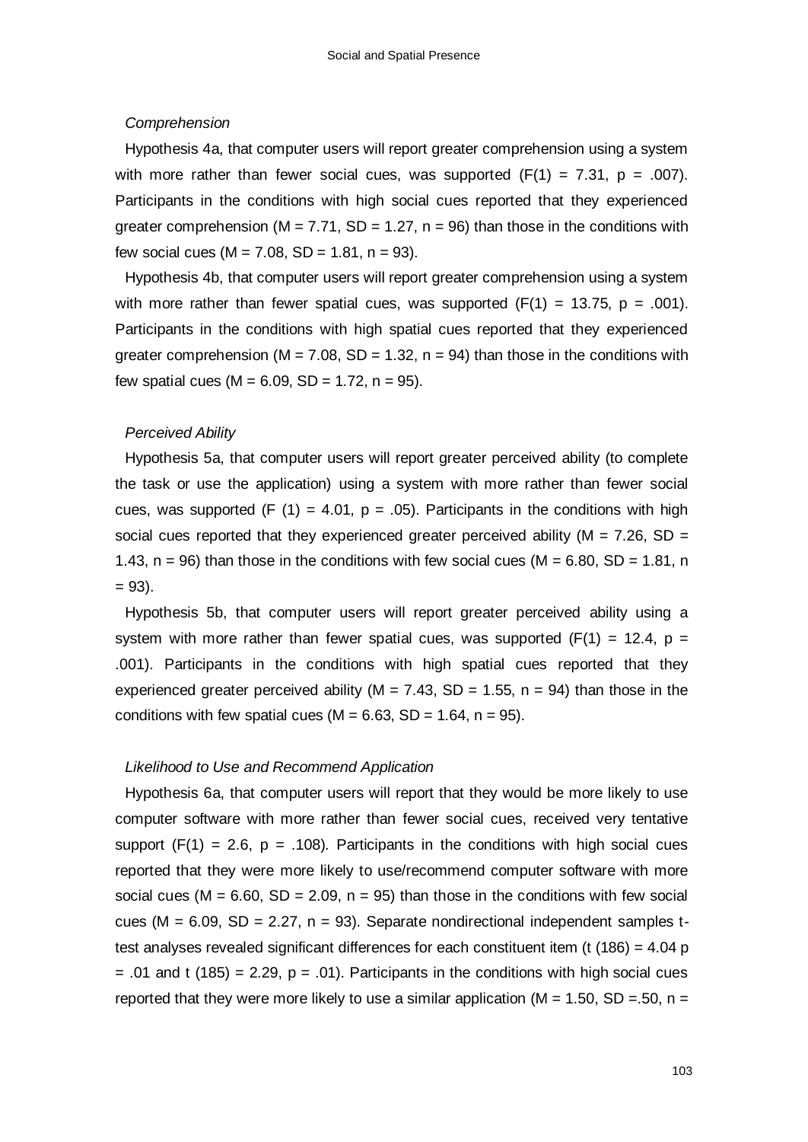#### *Comprehension*

Hypothesis 4a, that computer users will report greater comprehension using a system with more rather than fewer social cues, was supported  $(F(1) = 7.31, p = .007)$ . Participants in the conditions with high social cues reported that they experienced greater comprehension ( $M = 7.71$ ,  $SD = 1.27$ ,  $n = 96$ ) than those in the conditions with few social cues ( $M = 7.08$ , SD = 1.81, n = 93).

Hypothesis 4b, that computer users will report greater comprehension using a system with more rather than fewer spatial cues, was supported  $(F(1) = 13.75, p = .001)$ . Participants in the conditions with high spatial cues reported that they experienced greater comprehension ( $M = 7.08$ ,  $SD = 1.32$ ,  $n = 94$ ) than those in the conditions with few spatial cues  $(M = 6.09, SD = 1.72, n = 95)$ .

#### *Perceived Ability*

Hypothesis 5a, that computer users will report greater perceived ability (to complete the task or use the application) using a system with more rather than fewer social cues, was supported (F (1) = 4.01, p = .05). Participants in the conditions with high social cues reported that they experienced greater perceived ability ( $M = 7.26$ , SD = 1.43,  $n = 96$ ) than those in the conditions with few social cues (M = 6.80, SD = 1.81, n  $= 93$ ).

Hypothesis 5b, that computer users will report greater perceived ability using a system with more rather than fewer spatial cues, was supported ( $F(1) = 12.4$ , p = .001). Participants in the conditions with high spatial cues reported that they experienced greater perceived ability (M = 7.43, SD = 1.55,  $n = 94$ ) than those in the conditions with few spatial cues ( $M = 6.63$ , SD = 1.64, n = 95).

#### *Likelihood to Use and Recommend Application*

Hypothesis 6a, that computer users will report that they would be more likely to use computer software with more rather than fewer social cues, received very tentative support  $(F(1) = 2.6, p = .108)$ . Participants in the conditions with high social cues reported that they were more likely to use/recommend computer software with more social cues ( $M = 6.60$ ,  $SD = 2.09$ ,  $n = 95$ ) than those in the conditions with few social cues ( $M = 6.09$ ,  $SD = 2.27$ ,  $n = 93$ ). Separate nondirectional independent samples ttest analyses revealed significant differences for each constituent item (t  $(186) = 4.04$  p  $= .01$  and t (185) = 2.29, p = .01). Participants in the conditions with high social cues reported that they were more likely to use a similar application ( $M = 1.50$ , SD = 50, n =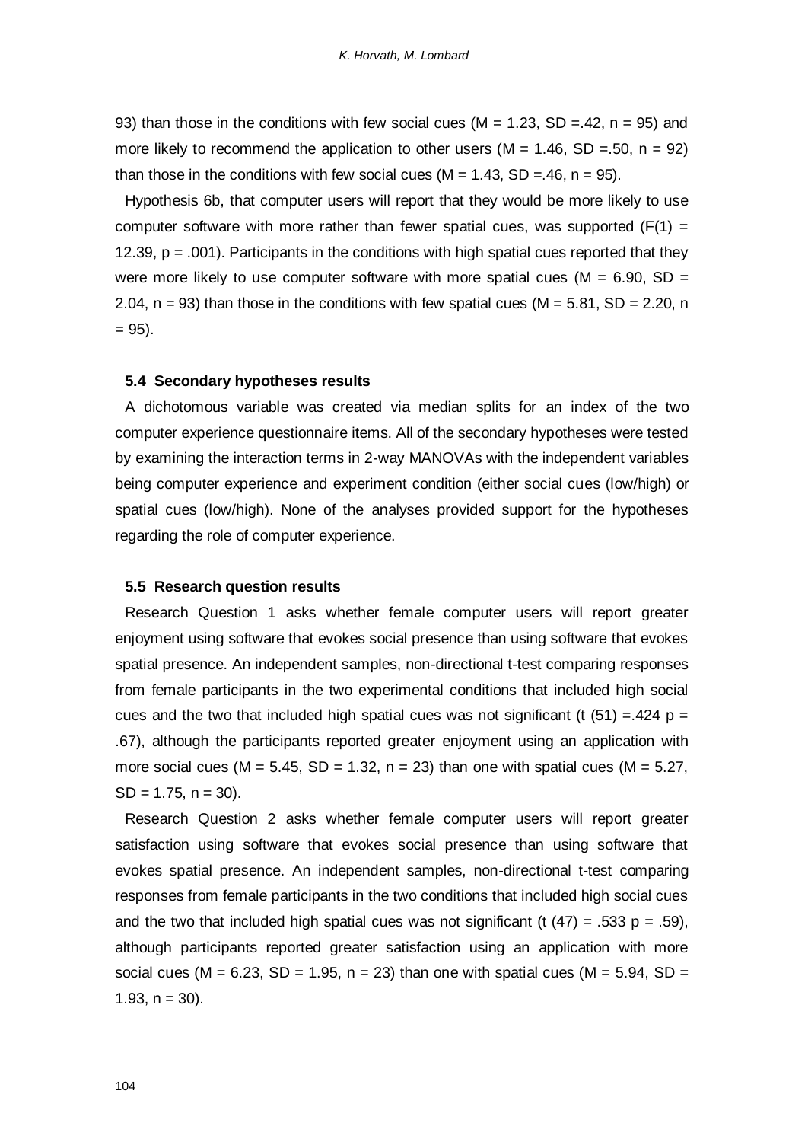93) than those in the conditions with few social cues ( $M = 1.23$ , SD = 42, n = 95) and more likely to recommend the application to other users ( $M = 1.46$ , SD = .50, n = 92) than those in the conditions with few social cues ( $M = 1.43$ , SD = 46, n = 95).

Hypothesis 6b, that computer users will report that they would be more likely to use computer software with more rather than fewer spatial cues, was supported  $(F(1) =$ 12.39,  $p = .001$ . Participants in the conditions with high spatial cues reported that they were more likely to use computer software with more spatial cues ( $M = 6.90$ , SD = 2.04,  $n = 93$ ) than those in the conditions with few spatial cues (M = 5.81, SD = 2.20, n  $= 95$ ).

#### **5.4 Secondary hypotheses results**

A dichotomous variable was created via median splits for an index of the two computer experience questionnaire items. All of the secondary hypotheses were tested by examining the interaction terms in 2-way MANOVAs with the independent variables being computer experience and experiment condition (either social cues (low/high) or spatial cues (low/high). None of the analyses provided support for the hypotheses regarding the role of computer experience.

#### **5.5 Research question results**

Research Question 1 asks whether female computer users will report greater enjoyment using software that evokes social presence than using software that evokes spatial presence. An independent samples, non-directional t-test comparing responses from female participants in the two experimental conditions that included high social cues and the two that included high spatial cues was not significant (t  $(51) = .424$  p = .67), although the participants reported greater enjoyment using an application with more social cues (M =  $5.45$ , SD =  $1.32$ , n =  $23$ ) than one with spatial cues (M =  $5.27$ ,  $SD = 1.75$ ,  $n = 30$ ).

Research Question 2 asks whether female computer users will report greater satisfaction using software that evokes social presence than using software that evokes spatial presence. An independent samples, non-directional t-test comparing responses from female participants in the two conditions that included high social cues and the two that included high spatial cues was not significant (t  $(47) = .533$  p = .59), although participants reported greater satisfaction using an application with more social cues (M =  $6.23$ , SD = 1.95, n = 23) than one with spatial cues (M =  $5.94$ , SD = 1.93,  $n = 30$ ).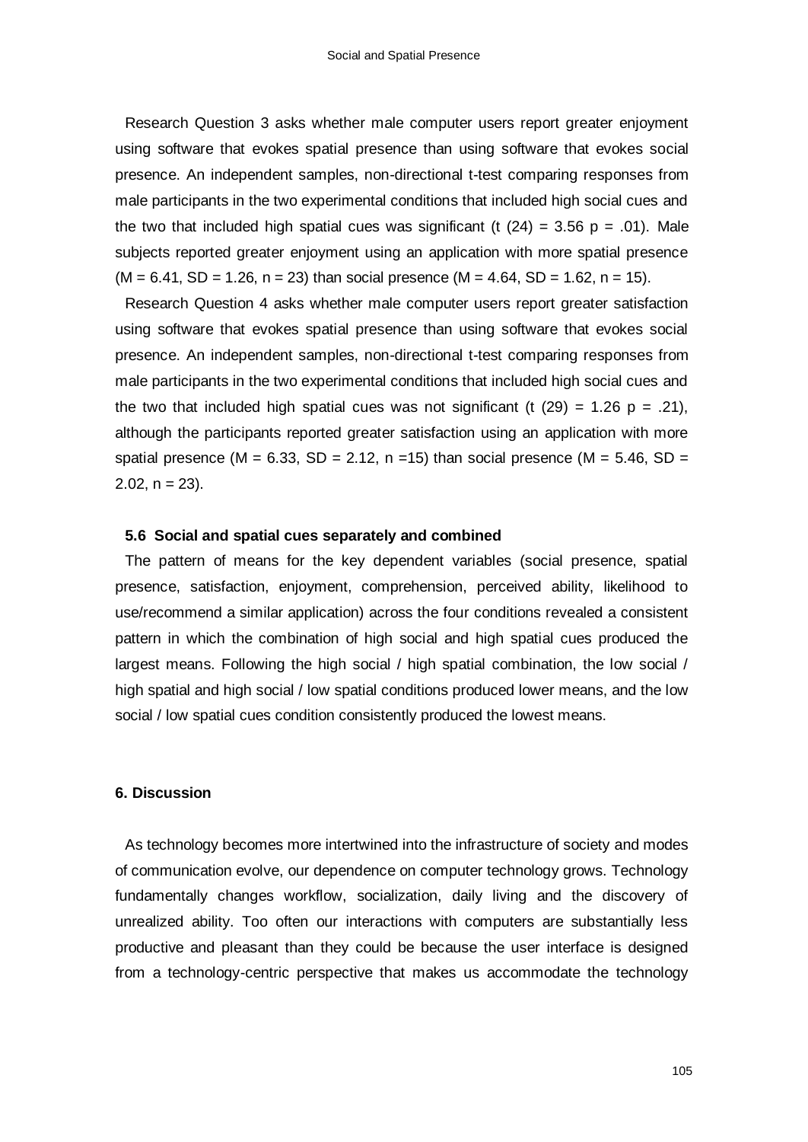Research Question 3 asks whether male computer users report greater enjoyment using software that evokes spatial presence than using software that evokes social presence. An independent samples, non-directional t-test comparing responses from male participants in the two experimental conditions that included high social cues and the two that included high spatial cues was significant (t  $(24) = 3.56$  p = .01). Male subjects reported greater enjoyment using an application with more spatial presence  $(M = 6.41, SD = 1.26, n = 23)$  than social presence  $(M = 4.64, SD = 1.62, n = 15)$ .

Research Question 4 asks whether male computer users report greater satisfaction using software that evokes spatial presence than using software that evokes social presence. An independent samples, non-directional t-test comparing responses from male participants in the two experimental conditions that included high social cues and the two that included high spatial cues was not significant (t  $(29) = 1.26$  p = .21), although the participants reported greater satisfaction using an application with more spatial presence (M =  $6.33$ , SD =  $2.12$ , n = 15) than social presence (M =  $5.46$ , SD =  $2.02$ ,  $n = 23$ ).

#### **5.6 Social and spatial cues separately and combined**

The pattern of means for the key dependent variables (social presence, spatial presence, satisfaction, enjoyment, comprehension, perceived ability, likelihood to use/recommend a similar application) across the four conditions revealed a consistent pattern in which the combination of high social and high spatial cues produced the largest means. Following the high social / high spatial combination, the low social / high spatial and high social / low spatial conditions produced lower means, and the low social / low spatial cues condition consistently produced the lowest means.

# **6. Discussion**

As technology becomes more intertwined into the infrastructure of society and modes of communication evolve, our dependence on computer technology grows. Technology fundamentally changes workflow, socialization, daily living and the discovery of unrealized ability. Too often our interactions with computers are substantially less productive and pleasant than they could be because the user interface is designed from a technology-centric perspective that makes us accommodate the technology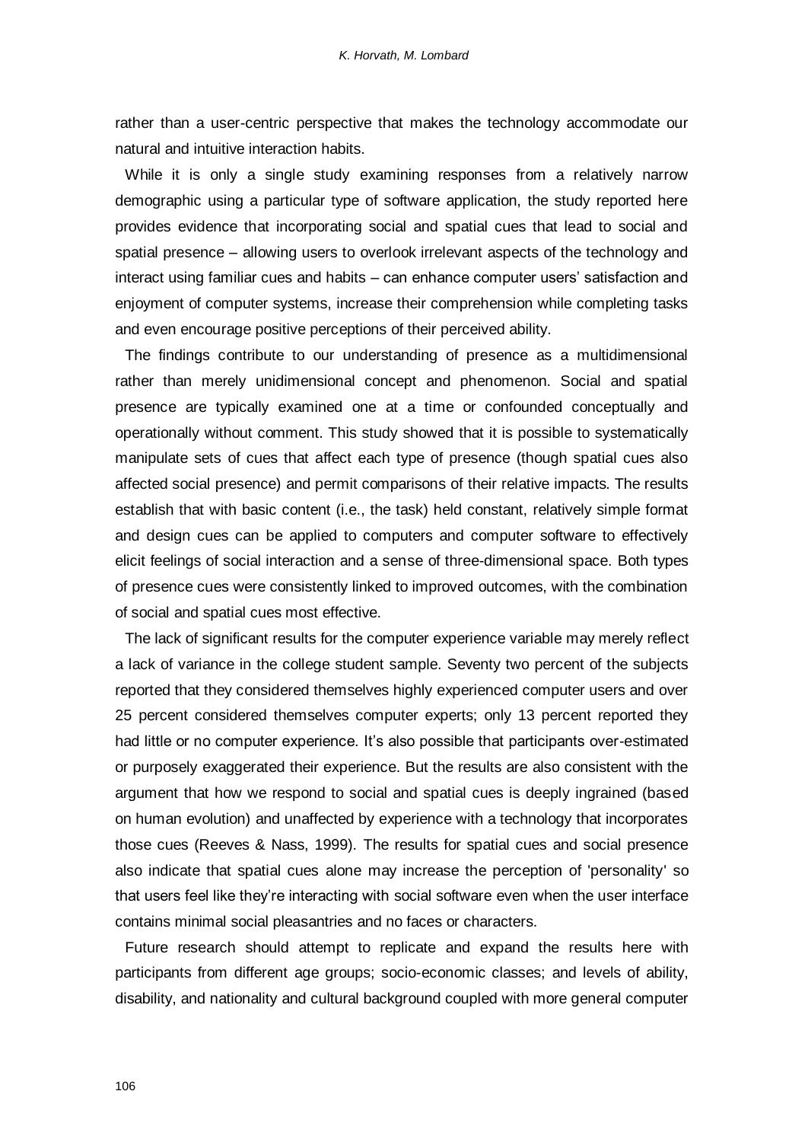rather than a user-centric perspective that makes the technology accommodate our natural and intuitive interaction habits.

While it is only a single study examining responses from a relatively narrow demographic using a particular type of software application, the study reported here provides evidence that incorporating social and spatial cues that lead to social and spatial presence – allowing users to overlook irrelevant aspects of the technology and interact using familiar cues and habits – can enhance computer users' satisfaction and enjoyment of computer systems, increase their comprehension while completing tasks and even encourage positive perceptions of their perceived ability.

The findings contribute to our understanding of presence as a multidimensional rather than merely unidimensional concept and phenomenon. Social and spatial presence are typically examined one at a time or confounded conceptually and operationally without comment. This study showed that it is possible to systematically manipulate sets of cues that affect each type of presence (though spatial cues also affected social presence) and permit comparisons of their relative impacts. The results establish that with basic content (i.e., the task) held constant, relatively simple format and design cues can be applied to computers and computer software to effectively elicit feelings of social interaction and a sense of three-dimensional space. Both types of presence cues were consistently linked to improved outcomes, with the combination of social and spatial cues most effective.

The lack of significant results for the computer experience variable may merely reflect a lack of variance in the college student sample. Seventy two percent of the subjects reported that they considered themselves highly experienced computer users and over 25 percent considered themselves computer experts; only 13 percent reported they had little or no computer experience. It's also possible that participants over-estimated or purposely exaggerated their experience. But the results are also consistent with the argument that how we respond to social and spatial cues is deeply ingrained (based on human evolution) and unaffected by experience with a technology that incorporates those cues (Reeves & Nass, 1999). The results for spatial cues and social presence also indicate that spatial cues alone may increase the perception of 'personality' so that users feel like they"re interacting with social software even when the user interface contains minimal social pleasantries and no faces or characters.

Future research should attempt to replicate and expand the results here with participants from different age groups; socio-economic classes; and levels of ability, disability, and nationality and cultural background coupled with more general computer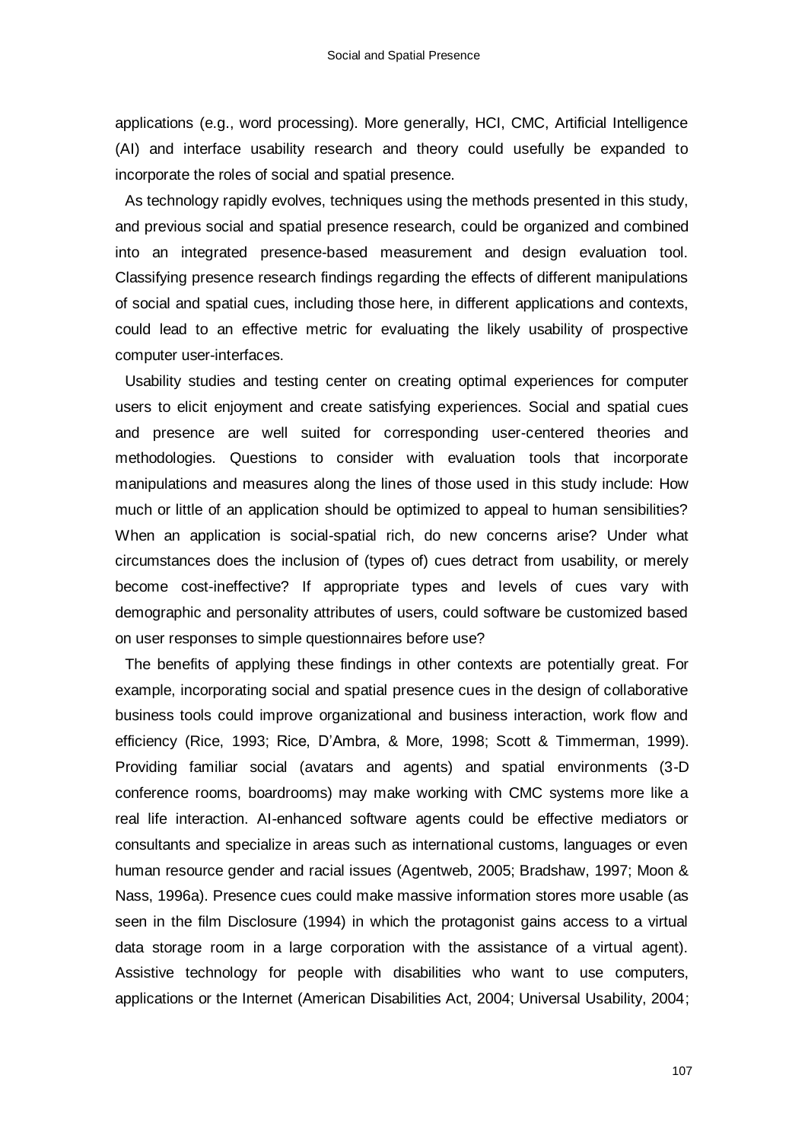applications (e.g., word processing). More generally, HCI, CMC, Artificial Intelligence (AI) and interface usability research and theory could usefully be expanded to incorporate the roles of social and spatial presence.

As technology rapidly evolves, techniques using the methods presented in this study, and previous social and spatial presence research, could be organized and combined into an integrated presence-based measurement and design evaluation tool. Classifying presence research findings regarding the effects of different manipulations of social and spatial cues, including those here, in different applications and contexts, could lead to an effective metric for evaluating the likely usability of prospective computer user-interfaces.

Usability studies and testing center on creating optimal experiences for computer users to elicit enjoyment and create satisfying experiences. Social and spatial cues and presence are well suited for corresponding user-centered theories and methodologies. Questions to consider with evaluation tools that incorporate manipulations and measures along the lines of those used in this study include: How much or little of an application should be optimized to appeal to human sensibilities? When an application is social-spatial rich, do new concerns arise? Under what circumstances does the inclusion of (types of) cues detract from usability, or merely become cost-ineffective? If appropriate types and levels of cues vary with demographic and personality attributes of users, could software be customized based on user responses to simple questionnaires before use?

The benefits of applying these findings in other contexts are potentially great. For example, incorporating social and spatial presence cues in the design of collaborative business tools could improve organizational and business interaction, work flow and efficiency (Rice, 1993; Rice, D"Ambra, & More, 1998; Scott & Timmerman, 1999). Providing familiar social (avatars and agents) and spatial environments (3-D conference rooms, boardrooms) may make working with CMC systems more like a real life interaction. AI-enhanced software agents could be effective mediators or consultants and specialize in areas such as international customs, languages or even human resource gender and racial issues (Agentweb, 2005; Bradshaw, 1997; Moon & Nass, 1996a). Presence cues could make massive information stores more usable (as seen in the film Disclosure (1994) in which the protagonist gains access to a virtual data storage room in a large corporation with the assistance of a virtual agent). Assistive technology for people with disabilities who want to use computers, applications or the Internet (American Disabilities Act, 2004; Universal Usability, 2004;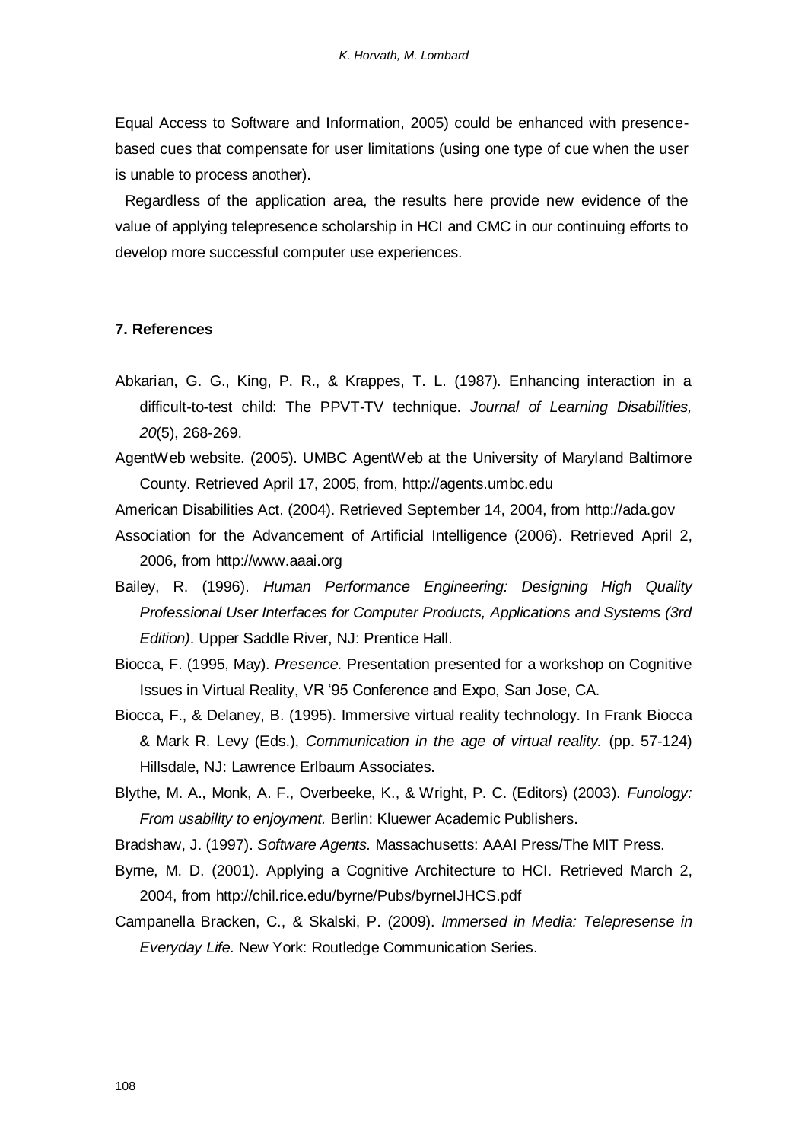Equal Access to Software and Information, 2005) could be enhanced with presencebased cues that compensate for user limitations (using one type of cue when the user is unable to process another).

Regardless of the application area, the results here provide new evidence of the value of applying telepresence scholarship in HCI and CMC in our continuing efforts to develop more successful computer use experiences.

# **7. References**

- Abkarian, G. G., King, P. R., & Krappes, T. L. (1987). Enhancing interaction in a difficult-to-test child: The PPVT-TV technique. *Journal of Learning Disabilities, 20*(5), 268-269.
- AgentWeb website. (2005). UMBC AgentWeb at the University of Maryland Baltimore County. Retrieved April 17, 2005, from, http://agents.umbc.edu

American Disabilities Act. (2004). Retrieved September 14, 2004, from http://ada.gov

- Association for the Advancement of Artificial Intelligence (2006). Retrieved April 2, 2006, from http://www.aaai.org
- Bailey, R. (1996). *Human Performance Engineering: Designing High Quality Professional User Interfaces for Computer Products, Applications and Systems (3rd Edition)*. Upper Saddle River, NJ: Prentice Hall.
- Biocca, F. (1995, May). *Presence.* Presentation presented for a workshop on Cognitive Issues in Virtual Reality, VR "95 Conference and Expo, San Jose, CA.
- Biocca, F., & Delaney, B. (1995). Immersive virtual reality technology. In Frank Biocca & Mark R. Levy (Eds.), *Communication in the age of virtual reality.* (pp. 57-124) Hillsdale, NJ: Lawrence Erlbaum Associates.
- Blythe, M. A., Monk, A. F., Overbeeke, K., & Wright, P. C. (Editors) (2003). *Funology: From usability to enjoyment.* Berlin: Kluewer Academic Publishers.

Bradshaw, J. (1997). *Software Agents.* Massachusetts: AAAI Press/The MIT Press.

- Byrne, M. D. (2001). Applying a Cognitive Architecture to HCI. Retrieved March 2, 2004, from http://chil.rice.edu/byrne/Pubs/byrneIJHCS.pdf
- Campanella Bracken, C., & Skalski, P. (2009). *Immersed in Media: Telepresense in Everyday Life.* New York: Routledge Communication Series.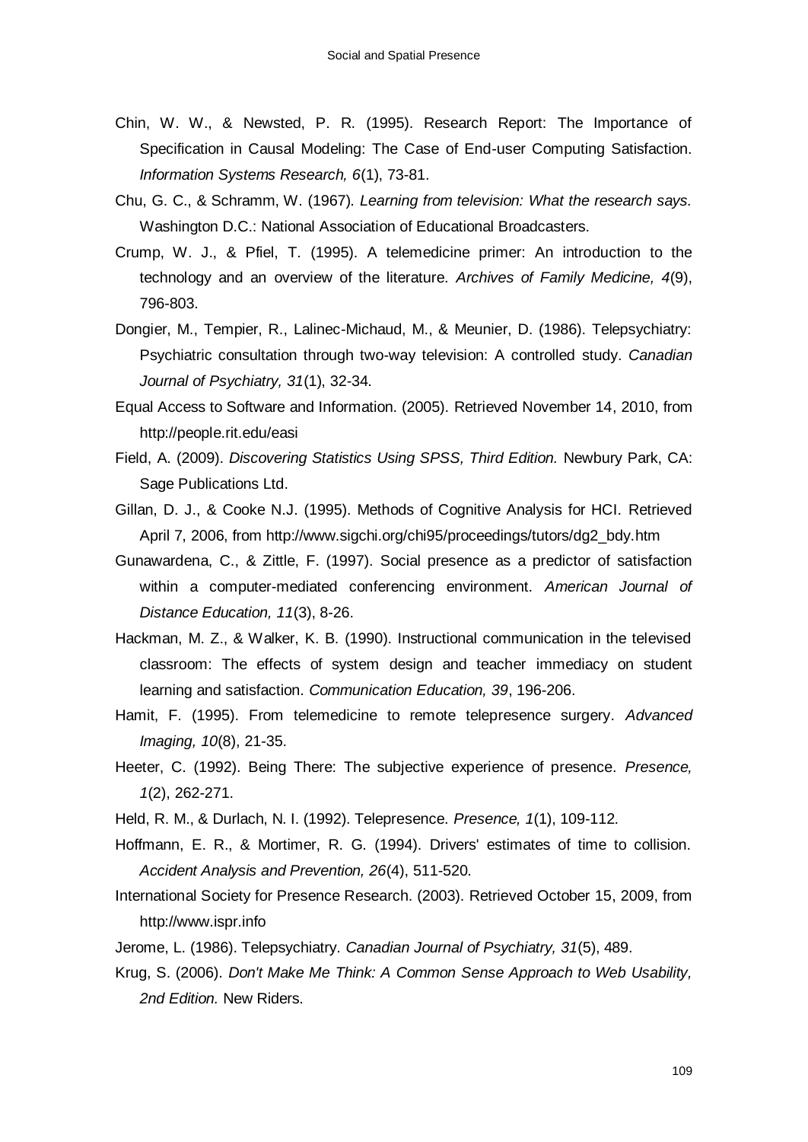- Chin, W. W., & Newsted, P. R. (1995). Research Report: The Importance of Specification in Causal Modeling: The Case of End-user Computing Satisfaction. *Information Systems Research, 6*(1), 73-81.
- Chu, G. C., & Schramm, W. (1967). *Learning from television: What the research says.* Washington D.C.: National Association of Educational Broadcasters.
- Crump, W. J., & Pfiel, T. (1995). A telemedicine primer: An introduction to the technology and an overview of the literature. *Archives of Family Medicine, 4*(9), 796-803.
- Dongier, M., Tempier, R., Lalinec-Michaud, M., & Meunier, D. (1986). Telepsychiatry: Psychiatric consultation through two-way television: A controlled study. *Canadian Journal of Psychiatry, 31*(1), 32-34.
- Equal Access to Software and Information. (2005). Retrieved November 14, 2010, from http://people.rit.edu/easi
- Field, A. (2009). *Discovering Statistics Using SPSS, Third Edition.* Newbury Park, CA: Sage Publications Ltd.
- Gillan, D. J., & Cooke N.J. (1995). Methods of Cognitive Analysis for HCI. Retrieved April 7, 2006, from http://www.sigchi.org/chi95/proceedings/tutors/dg2\_bdy.htm
- Gunawardena, C., & Zittle, F. (1997). Social presence as a predictor of satisfaction within a computer-mediated conferencing environment. *American Journal of Distance Education, 11*(3), 8-26.
- Hackman, M. Z., & Walker, K. B. (1990). Instructional communication in the televised classroom: The effects of system design and teacher immediacy on student learning and satisfaction. *Communication Education, 39*, 196-206.
- Hamit, F. (1995). From telemedicine to remote telepresence surgery. *Advanced Imaging, 10*(8), 21-35.
- Heeter, C. (1992). Being There: The subjective experience of presence. *Presence, 1*(2), 262-271.
- Held, R. M., & Durlach, N. I. (1992). Telepresence. *Presence, 1*(1), 109-112.
- Hoffmann, E. R., & Mortimer, R. G. (1994). Drivers' estimates of time to collision. *Accident Analysis and Prevention, 26*(4), 511-520.
- International Society for Presence Research. (2003). Retrieved October 15, 2009, from http://www.ispr.info
- Jerome, L. (1986). Telepsychiatry. *Canadian Journal of Psychiatry, 31*(5), 489.
- Krug, S. (2006). *Don't Make Me Think: A Common Sense Approach to Web Usability, 2nd Edition.* New Riders.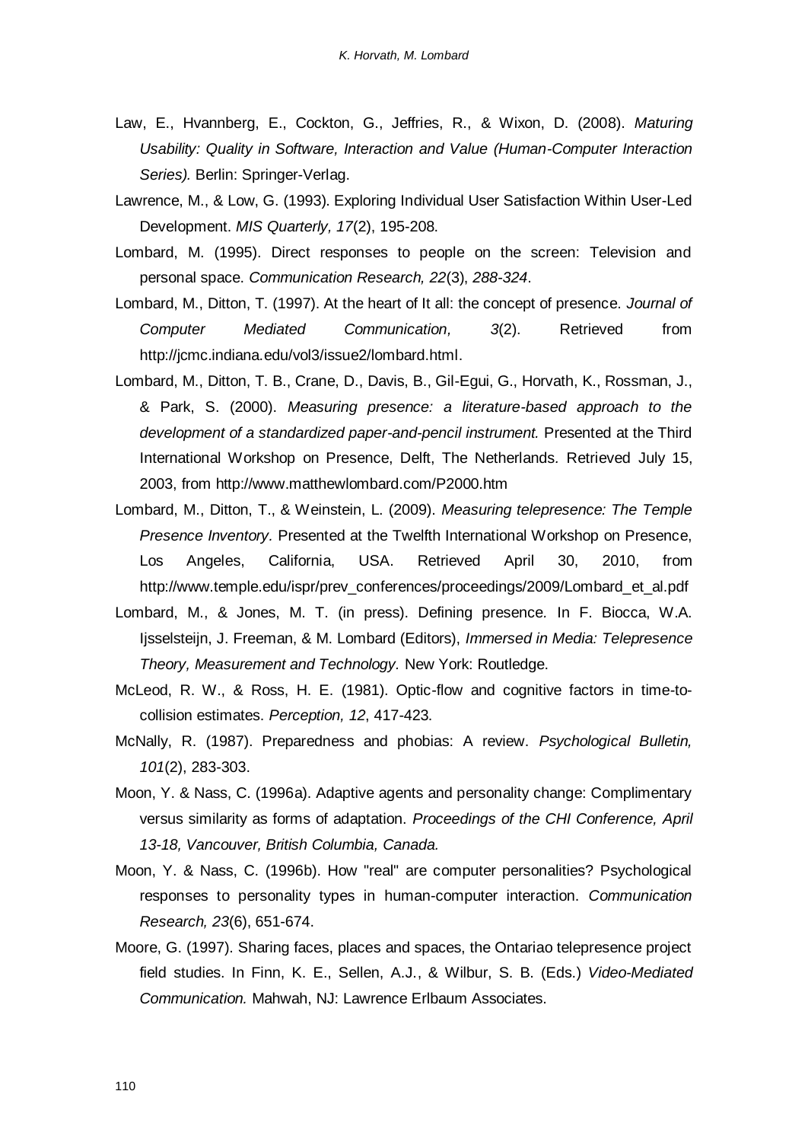- Law, E., Hvannberg, E., Cockton, G., Jeffries, R., & Wixon, D. (2008). *Maturing Usability: Quality in Software, Interaction and Value (Human-Computer Interaction Series).* Berlin: Springer-Verlag.
- Lawrence, M., & Low, G. (1993). Exploring Individual User Satisfaction Within User-Led Development. *MIS Quarterly, 17*(2), 195-208.
- Lombard, M. (1995). Direct responses to people on the screen: Television and personal space. *Communication Research, 22*(3), *288-324*.
- Lombard, M., Ditton, T. (1997). At the heart of It all: the concept of presence. *Journal of Computer Mediated Communication, 3*(2). Retrieved from http://jcmc.indiana.edu/vol3/issue2/lombard.html.
- Lombard, M., Ditton, T. B., Crane, D., Davis, B., Gil-Egui, G., Horvath, K., Rossman, J., & Park, S. (2000). *Measuring presence: a literature-based approach to the development of a standardized paper-and-pencil instrument.* Presented at the Third International Workshop on Presence, Delft, The Netherlands*.* Retrieved July 15, 2003, from http://www.matthewlombard.com/P2000.htm
- Lombard, M., Ditton, T., & Weinstein, L. (2009). *[Measuring telepresence: The Temple](http://www.temple.edu/ispr/prev_conferences/proceedings/2009/Lombard_et_al.pdf)  [Presence Inventory.](http://www.temple.edu/ispr/prev_conferences/proceedings/2009/Lombard_et_al.pdf)* Presented at the Twelfth International Workshop on Presence, Los Angeles, California, USA. Retrieved April 30, 2010, from http://www.temple.edu/ispr/prev\_conferences/proceedings/2009/Lombard\_et\_al.pdf
- Lombard, M., & Jones, M. T. (in press). Defining presence*.* In F. Biocca, W.A. Ijsselsteijn, J. Freeman, & M. Lombard (Editors), *Immersed in Media: Telepresence Theory, Measurement and Technology.* New York: Routledge.
- McLeod, R. W., & Ross, H. E. (1981). Optic-flow and cognitive factors in time-tocollision estimates. *Perception, 12*, 417-423.
- McNally, R. (1987). Preparedness and phobias: A review. *Psychological Bulletin, 101*(2), 283-303.
- Moon, Y. & Nass, C. (1996a). Adaptive agents and personality change: Complimentary versus similarity as forms of adaptation. *Proceedings of the CHI Conference, April 13-18, Vancouver, British Columbia, Canada.*
- Moon, Y. & Nass, C. (1996b). How "real" are computer personalities? Psychological responses to personality types in human-computer interaction. *Communication Research, 23*(6), 651-674.
- Moore, G. (1997). Sharing faces, places and spaces, the Ontariao telepresence project field studies. In Finn, K. E., Sellen, A.J., & Wilbur, S. B. (Eds.) *Video-Mediated Communication.* Mahwah, NJ: Lawrence Erlbaum Associates.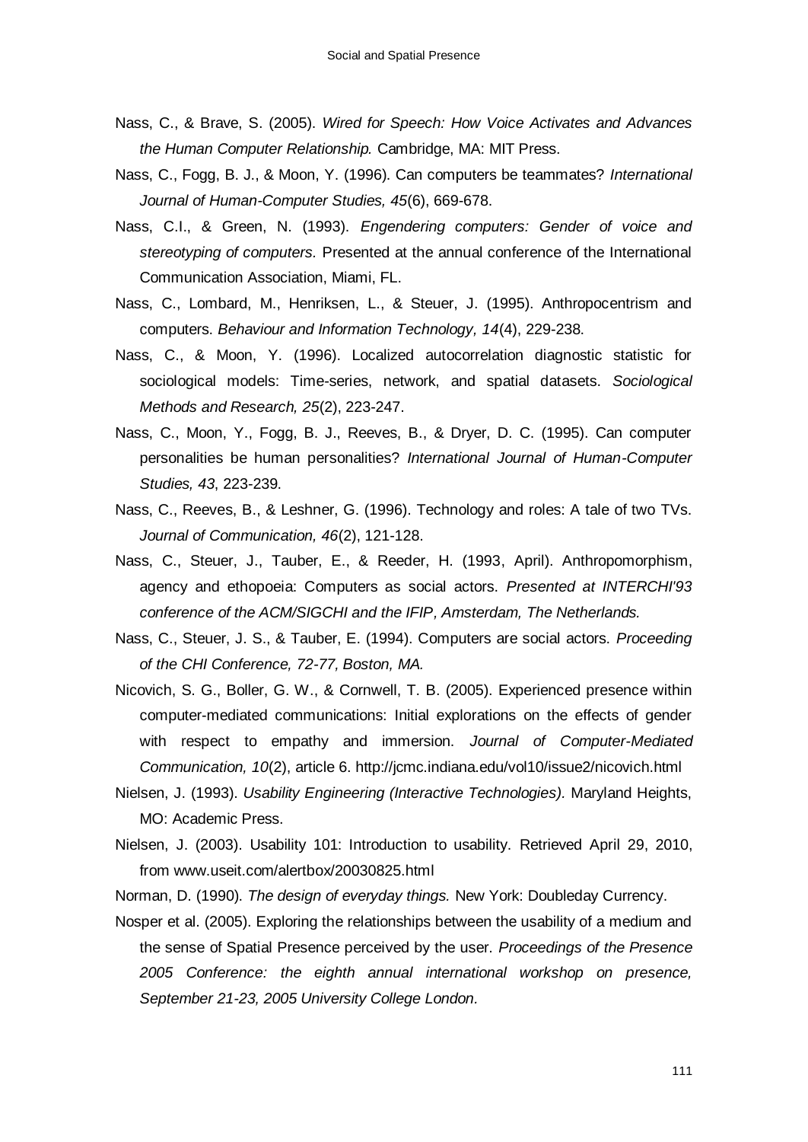- Nass, C., & Brave, S. (2005). *Wired for Speech: How Voice Activates and Advances the Human Computer Relationship.* Cambridge, MA: MIT Press.
- Nass, C., Fogg, B. J., & Moon, Y. (1996). Can computers be teammates? *International Journal of Human-Computer Studies, 45*(6), 669-678.
- Nass, C.I., & Green, N. (1993). *Engendering computers: Gender of voice and stereotyping of computers.* Presented at the annual conference of the International Communication Association, Miami, FL.
- Nass, C., Lombard, M., Henriksen, L., & Steuer, J. (1995). Anthropocentrism and computers. *Behaviour and Information Technology, 14*(4), 229-238.
- Nass, C., & Moon, Y. (1996). Localized autocorrelation diagnostic statistic for sociological models: Time-series, network, and spatial datasets. *Sociological Methods and Research, 25*(2), 223-247.
- Nass, C., Moon, Y., Fogg, B. J., Reeves, B., & Dryer, D. C. (1995). Can computer personalities be human personalities? *International Journal of Human-Computer Studies, 43*, 223-239.
- Nass, C., Reeves, B., & Leshner, G. (1996). Technology and roles: A tale of two TVs. *Journal of Communication, 46*(2), 121-128.
- Nass, C., Steuer, J., Tauber, E., & Reeder, H. (1993, April). Anthropomorphism, agency and ethopoeia: Computers as social actors. *Presented at INTERCHI'93 conference of the ACM/SIGCHI and the IFIP, Amsterdam, The Netherlands.*
- Nass, C., Steuer, J. S., & Tauber, E. (1994). Computers are social actors. *Proceeding of the CHI Conference, 72-77, Boston, MA.*
- Nicovich, S. G., Boller, G. W., & Cornwell, T. B. (2005). Experienced presence within computer-mediated communications: Initial explorations on the effects of gender with respect to empathy and immersion. *Journal of Computer-Mediated Communication, 10*(2), article 6. http://jcmc.indiana.edu/vol10/issue2/nicovich.html
- Nielsen, J. (1993). *Usability Engineering (Interactive Technologies).* Maryland Heights, MO: Academic Press.
- Nielsen, J. (2003). Usability 101: Introduction to usability. Retrieved April 29, 2010, from www.useit.com/alertbox/20030825.html
- Norman, D. (1990). *The design of everyday things.* New York: Doubleday Currency.
- Nosper et al. (2005). Exploring the relationships between the usability of a medium and the sense of Spatial Presence perceived by the user. *Proceedings of the Presence 2005 Conference: the eighth annual international workshop on presence, September 21-23, 2005 University College London.*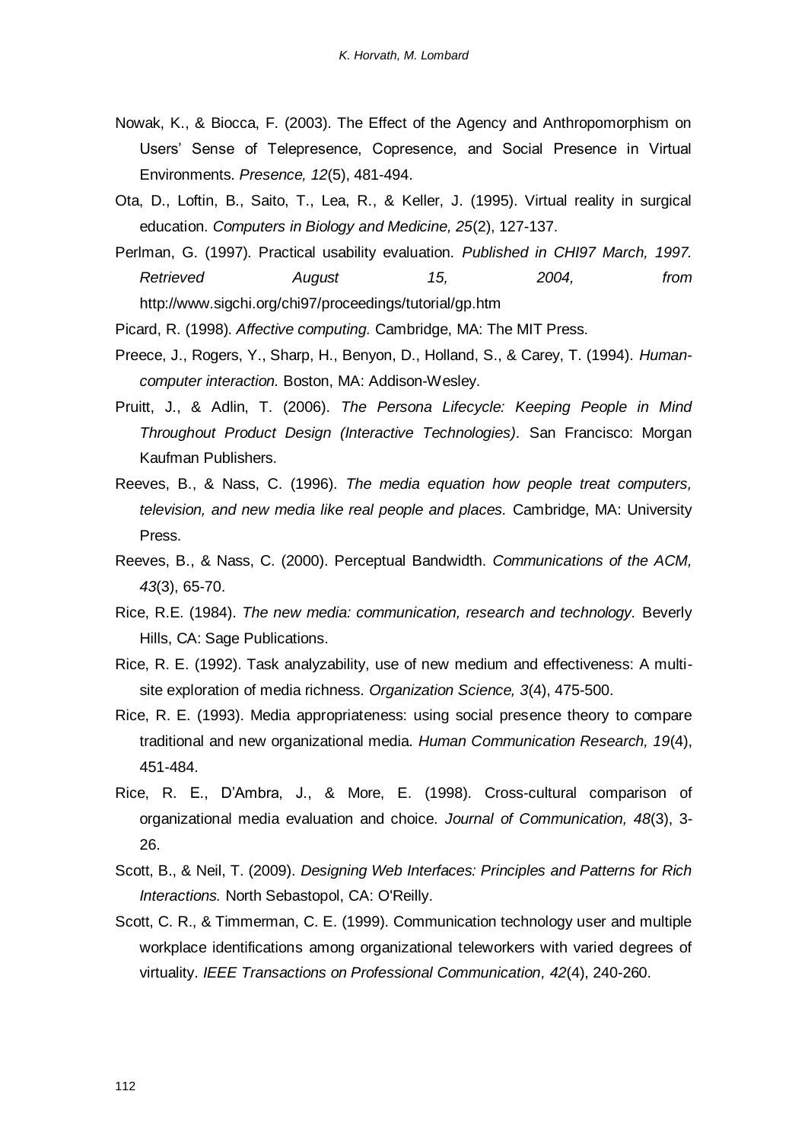- Nowak, K., & Biocca, F. (2003). The Effect of the Agency and Anthropomorphism on Users" Sense of Telepresence, Copresence, and Social Presence in Virtual Environments. *Presence, 12*(5), 481-494.
- Ota, D., Loftin, B., Saito, T., Lea, R., & Keller, J. (1995). Virtual reality in surgical education. *Computers in Biology and Medicine, 25*(2), 127-137.
- Perlman, G. (1997). Practical usability evaluation. *Published in CHI97 March, 1997. Retrieved August 15, 2004, from* http://www.sigchi.org/chi97/proceedings/tutorial/gp.htm

Picard, R. (1998). *Affective computing.* Cambridge, MA: The MIT Press.

- Preece, J., Rogers, Y., Sharp, H., Benyon, D., Holland, S., & Carey, T. (1994). *Humancomputer interaction.* Boston, MA: Addison-Wesley.
- Pruitt, J., & Adlin, T. (2006). *The Persona Lifecycle: Keeping People in Mind Throughout Product Design (Interactive Technologies).* San Francisco: Morgan Kaufman Publishers.
- Reeves, B., & Nass, C. (1996). *The media equation how people treat computers, television, and new media like real people and places.* Cambridge, MA: University Press.
- Reeves, B., & Nass, C. (2000). Perceptual Bandwidth. *Communications of the ACM, 43*(3), 65-70.
- Rice, R.E. (1984). *The new media: communication, research and technology.* Beverly Hills, CA: Sage Publications.
- Rice, R. E. (1992). Task analyzability, use of new medium and effectiveness: A multisite exploration of media richness. *Organization Science, 3*(4), 475-500.
- Rice, R. E. (1993). Media appropriateness: using social presence theory to compare traditional and new organizational media. *Human Communication Research, 19*(4), 451-484.
- Rice, R. E., D"Ambra, J., & More, E. (1998). Cross-cultural comparison of organizational media evaluation and choice. *Journal of Communication, 48*(3), 3- 26.
- Scott, B., & Neil, T. (2009). *Designing Web Interfaces: Principles and Patterns for Rich Interactions.* North Sebastopol, CA: O'Reilly.
- Scott, C. R., & Timmerman, C. E. (1999). Communication technology user and multiple workplace identifications among organizational teleworkers with varied degrees of virtuality. *IEEE Transactions on Professional Communication, 42*(4), 240-260.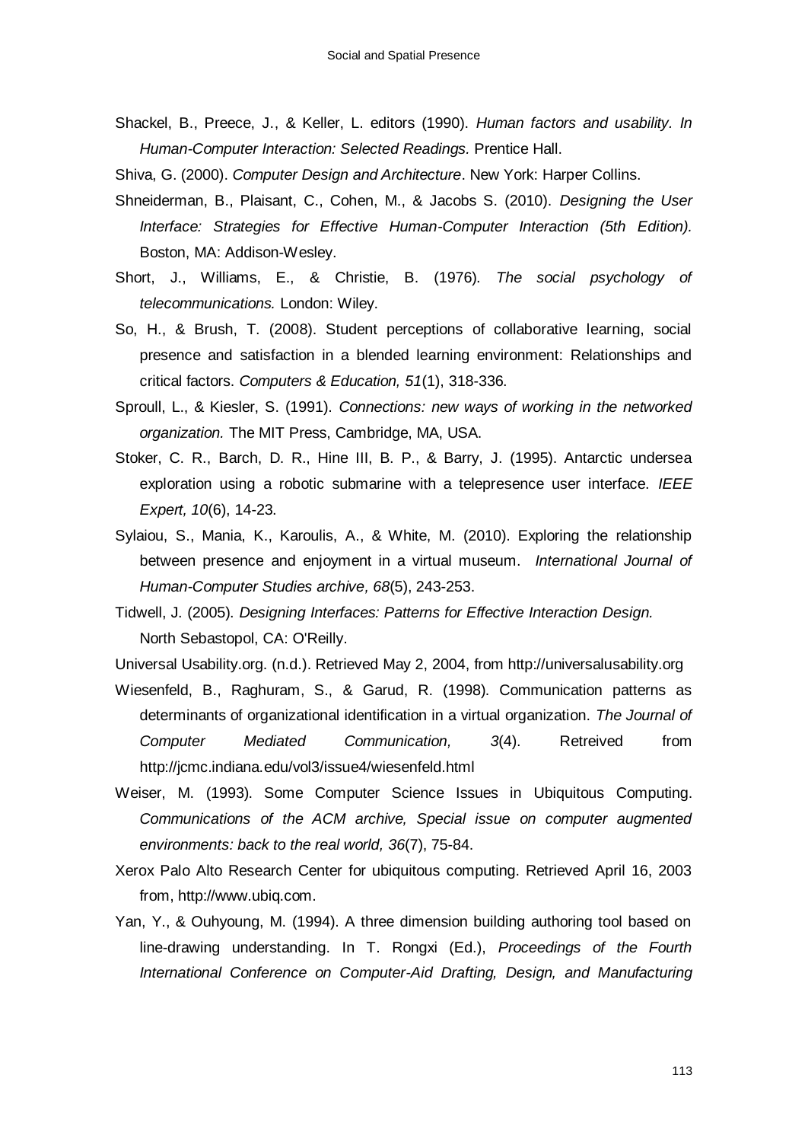- Shackel, B., Preece, J., & Keller, L. editors (1990). *Human factors and usability. In Human-Computer Interaction: Selected Readings.* Prentice Hall.
- Shiva, G. (2000). *Computer Design and Architecture*. New York: Harper Collins.
- Shneiderman, B., Plaisant, C., Cohen, M., & Jacobs S. (2010). *Designing the User Interface: Strategies for Effective Human-Computer Interaction (5th Edition).* Boston, MA: Addison-Wesley.
- Short, J., Williams, E., & Christie, B. (1976). *The social psychology of telecommunications.* London: Wiley.
- So, H., & Brush, T. (2008). Student perceptions of collaborative learning, social presence and satisfaction in a blended learning environment: Relationships and critical factors. *Computers & Education, 51*(1), 318-336.
- Sproull, L., & Kiesler, S. (1991). *Connections: new ways of working in the networked organization.* The MIT Press, Cambridge, MA, USA.
- Stoker, C. R., Barch, D. R., Hine III, B. P., & Barry, J. (1995). Antarctic undersea exploration using a robotic submarine with a telepresence user interface. *IEEE Expert, 10*(6), 14-23.
- Sylaiou, S., Mania, K., Karoulis, A., & White, M. (2010). Exploring the relationship between presence and enjoyment in a virtual museum. *International Journal of Human-Computer Studies archive, 68*(5), 243-253.
- Tidwell, J. (2005). *Designing Interfaces: Patterns for Effective Interaction Design.* North Sebastopol, CA: O'Reilly.
- Universal Usability.org. (n.d.). Retrieved May 2, 2004, from http://universalusability.org
- Wiesenfeld, B., Raghuram, S., & Garud, R. (1998). Communication patterns as determinants of organizational identification in a virtual organization. *The Journal of Computer Mediated Communication, 3*(4). Retreived from http://jcmc.indiana.edu/vol3/issue4/wiesenfeld.html
- Weiser, M. (1993). Some Computer Science Issues in Ubiquitous Computing. *Communications of the ACM archive, Special issue on computer augmented environments: back to the real world, 36*(7), 75-84.
- Xerox Palo Alto Research Center for ubiquitous computing. Retrieved April 16, 2003 from, http://www.ubiq.com.
- Yan, Y., & Ouhyoung, M. (1994). A three dimension building authoring tool based on line-drawing understanding. In T. Rongxi (Ed.), *Proceedings of the Fourth International Conference on Computer-Aid Drafting, Design, and Manufacturing*